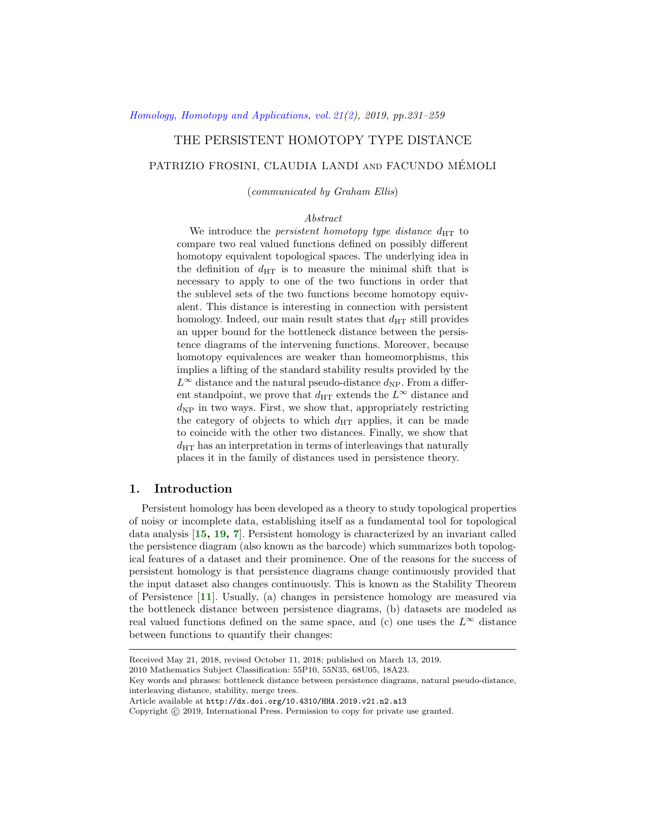# THE PERSISTENT HOMOTOPY TYPE DISTANCE

# PATRIZIO FROSINI, CLAUDIA LANDI and FACUNDO MEMOLI ´

(communicated by Graham Ellis)

### Abstract

We introduce the *persistent homotopy type distance*  $d_{\text{HT}}$  to compare two real valued functions defined on possibly different homotopy equivalent topological spaces. The underlying idea in the definition of  $d_{\text{HT}}$  is to measure the minimal shift that is necessary to apply to one of the two functions in order that the sublevel sets of the two functions become homotopy equivalent. This distance is interesting in connection with persistent homology. Indeed, our main result states that  $d_{\text{HT}}$  still provides an upper bound for the bottleneck distance between the persistence diagrams of the intervening functions. Moreover, because homotopy equivalences are weaker than homeomorphisms, this implies a lifting of the standard stability results provided by the  $L^{\infty}$  distance and the natural pseudo-distance  $d_{\text{NP}}$ . From a different standpoint, we prove that  $d_{\text{HT}}$  extends the  $L^{\infty}$  distance and  $d_{\text{NP}}$  in two ways. First, we show that, appropriately restricting the category of objects to which  $d_{\text{HT}}$  applies, it can be made to coincide with the other two distances. Finally, we show that  $d_{\text{HT}}$  has an interpretation in terms of interleavings that naturally places it in the family of distances used in persistence theory.

# 1. Introduction

Persistent homology has been developed as a theory to study topological properties of noisy or incomplete data, establishing itself as a fundamental tool for topological data analysis [[15,](#page-28-0) [19,](#page-28-1) [7](#page-27-0)]. Persistent homology is characterized by an invariant called the persistence diagram (also known as the barcode) which summarizes both topological features of a dataset and their prominence. One of the reasons for the success of persistent homology is that persistence diagrams change continuously provided that the input dataset also changes continuously. This is known as the Stability Theorem of Persistence [[11](#page-27-1)]. Usually, (a) changes in persistence homology are measured via the bottleneck distance between persistence diagrams, (b) datasets are modeled as real valued functions defined on the same space, and (c) one uses the  $L^{\infty}$  distance between functions to quantify their changes:

2010 Mathematics Subject Classification: 55P10, 55N35, 68U05, 18A23.

Copyright (c) 2019, International Press. Permission to copy for private use granted.

Received May 21, 2018, revised October 11, 2018; published on March 13, 2019.

Key words and phrases: bottleneck distance between persistence diagrams, natural pseudo-distance, interleaving distance, stability, merge trees.

Article available at http://dx.doi.org/10.4310/HHA.2019.v21.n2.a13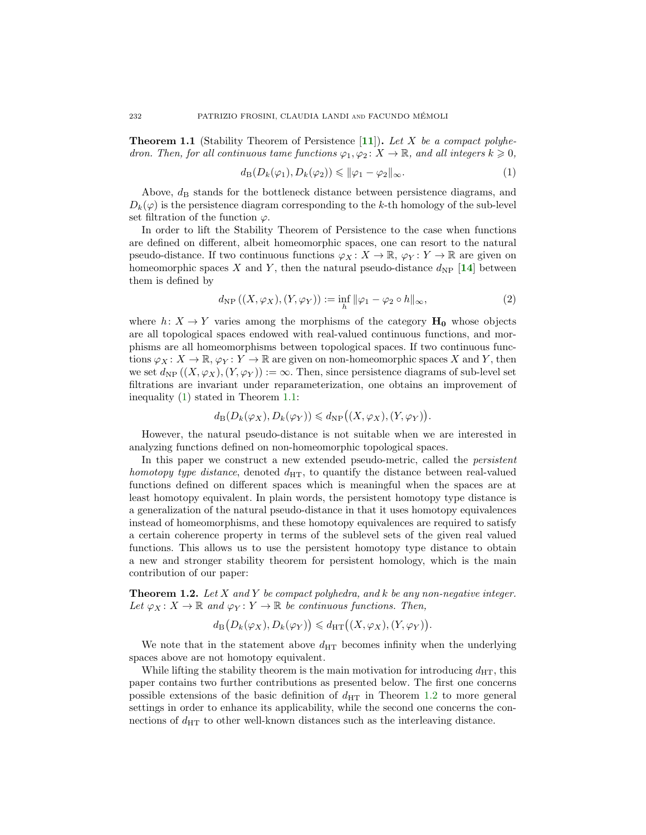<span id="page-1-1"></span>**Theorem 1.1** (Stability Theorem of Persistence  $[11]$  $[11]$  $[11]$ ). Let X be a compact polyhedron. Then, for all continuous tame functions  $\varphi_1, \varphi_2 \colon X \to \mathbb{R}$ , and all integers  $k \geq 0$ ,

<span id="page-1-0"></span>
$$
d_{\mathcal{B}}(D_k(\varphi_1), D_k(\varphi_2)) \le \|\varphi_1 - \varphi_2\|_{\infty}.\tag{1}
$$

Above,  $d_{\text{B}}$  stands for the bottleneck distance between persistence diagrams, and  $D_k(\varphi)$  is the persistence diagram corresponding to the k-th homology of the sub-level set filtration of the function  $\varphi$ .

In order to lift the Stability Theorem of Persistence to the case when functions are defined on different, albeit homeomorphic spaces, one can resort to the natural pseudo-distance. If two continuous functions  $\varphi_X \colon X \to \mathbb{R}$ ,  $\varphi_Y \colon Y \to \mathbb{R}$  are given on homeomorphic spaces X and Y, then the natural pseudo-distance  $d_{\rm NP}$  [[14](#page-28-2)] between them is defined by

<span id="page-1-3"></span>
$$
d_{\rm NP}((X,\varphi_X),(Y,\varphi_Y)) := \inf_h \|\varphi_1 - \varphi_2 \circ h\|_{\infty},\tag{2}
$$

where  $h: X \to Y$  varies among the morphisms of the category  $H_0$  whose objects are all topological spaces endowed with real-valued continuous functions, and morphisms are all homeomorphisms between topological spaces. If two continuous functions  $\varphi_X: X \to \mathbb{R}, \varphi_Y: Y \to \mathbb{R}$  are given on non-homeomorphic spaces X and Y, then we set  $d_{\rm NP} ((X, \varphi_X), (Y, \varphi_Y)) := \infty$ . Then, since persistence diagrams of sub-level set filtrations are invariant under reparameterization, one obtains an improvement of inequality [\(1\)](#page-1-0) stated in Theorem [1.1:](#page-1-1)

$$
d_{\mathrm{B}}(D_k(\varphi_X), D_k(\varphi_Y)) \leq d_{\mathrm{NP}}\big((X, \varphi_X), (Y, \varphi_Y)\big).
$$

However, the natural pseudo-distance is not suitable when we are interested in analyzing functions defined on non-homeomorphic topological spaces.

In this paper we construct a new extended pseudo-metric, called the *persistent* homotopy type distance, denoted  $d_{\text{HT}}$ , to quantify the distance between real-valued functions defined on different spaces which is meaningful when the spaces are at least homotopy equivalent. In plain words, the persistent homotopy type distance is a generalization of the natural pseudo-distance in that it uses homotopy equivalences instead of homeomorphisms, and these homotopy equivalences are required to satisfy a certain coherence property in terms of the sublevel sets of the given real valued functions. This allows us to use the persistent homotopy type distance to obtain a new and stronger stability theorem for persistent homology, which is the main contribution of our paper:

<span id="page-1-2"></span>**Theorem 1.2.** Let X and Y be compact polyhedra, and k be any non-negative integer. Let  $\varphi_X \colon X \to \mathbb{R}$  and  $\varphi_Y \colon Y \to \mathbb{R}$  be continuous functions. Then,

$$
d_{\mathcal{B}}\big(D_k(\varphi_X), D_k(\varphi_Y)\big) \leq d_{\text{HT}}\big((X, \varphi_X), (Y, \varphi_Y)\big).
$$

We note that in the statement above  $d_{\text{HT}}$  becomes infinity when the underlying spaces above are not homotopy equivalent.

While lifting the stability theorem is the main motivation for introducing  $d_{\text{HT}}$ , this paper contains two further contributions as presented below. The first one concerns possible extensions of the basic definition of  $d_{\text{HT}}$  in Theorem [1.2](#page-1-2) to more general settings in order to enhance its applicability, while the second one concerns the connections of  $d_{\text{HT}}$  to other well-known distances such as the interleaving distance.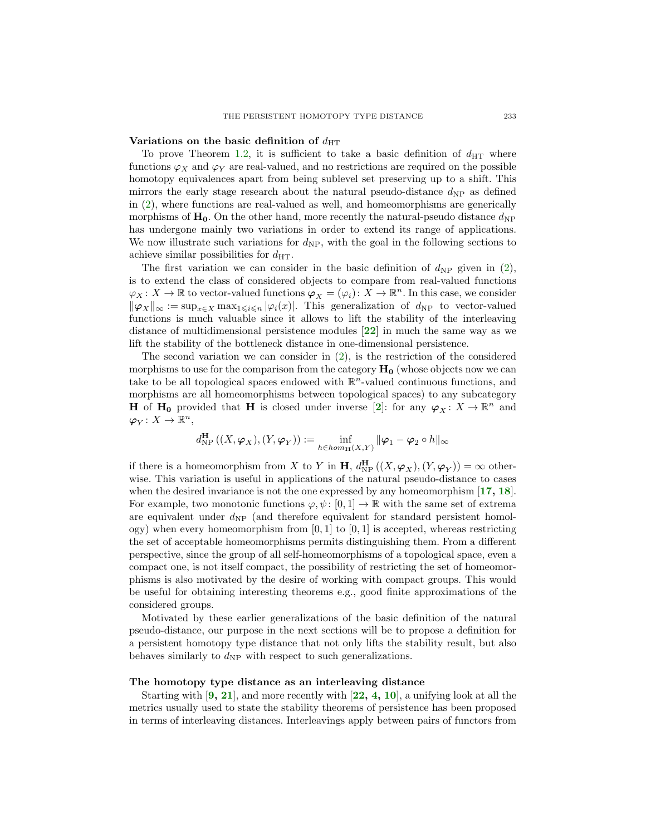### Variations on the basic definition of  $d_{\text{HT}}$

To prove Theorem [1.2,](#page-1-2) it is sufficient to take a basic definition of  $d_{\text{HT}}$  where functions  $\varphi_X$  and  $\varphi_Y$  are real-valued, and no restrictions are required on the possible homotopy equivalences apart from being sublevel set preserving up to a shift. This mirrors the early stage research about the natural pseudo-distance  $d_{\rm NP}$  as defined in [\(2\)](#page-1-3), where functions are real-valued as well, and homeomorphisms are generically morphisms of  $H_0$ . On the other hand, more recently the natural-pseudo distance  $d_{\text{NP}}$ has undergone mainly two variations in order to extend its range of applications. We now illustrate such variations for  $d_{\rm NP}$ , with the goal in the following sections to achieve similar possibilities for  $d_{\text{HT}}$ .

The first variation we can consider in the basic definition of  $d_{\text{NP}}$  given in [\(2\)](#page-1-3), is to extend the class of considered objects to compare from real-valued functions  $\varphi_X \colon X \to \mathbb{R}$  to vector-valued functions  $\varphi_X = (\varphi_i) \colon X \to \mathbb{R}^n$ . In this case, we consider  $\|\varphi_X\|_{\infty} := \sup_{x \in X} \max_{1 \leq i \leq n} |\varphi_i(x)|$ . This generalization of  $d_{NP}$  to vector-valued functions is much valuable since it allows to lift the stability of the interleaving distance of multidimensional persistence modules [[22](#page-28-3)] in much the same way as we lift the stability of the bottleneck distance in one-dimensional persistence.

The second variation we can consider in [\(2\)](#page-1-3), is the restriction of the considered morphisms to use for the comparison from the category  $H_0$  (whose objects now we can take to be all topological spaces endowed with  $\mathbb{R}^n$ -valued continuous functions, and morphisms are all homeomorphisms between topological spaces) to any subcategory **H** of **H**<sub>0</sub> provided that **H** is closed under inverse [[2](#page-27-2)]: for any  $\varphi_X : X \to \mathbb{R}^n$  and  $\varphi_Y \colon X \to \mathbb{R}^n$ ,

$$
d_{\mathrm{NP}}^{\mathbf{H}}\left((X,\boldsymbol{\varphi}_X),(Y,\boldsymbol{\varphi}_Y)\right) := \inf_{h \in \text{hom}_{\mathbf{H}}(X,Y)} \|\boldsymbol{\varphi}_1 - \boldsymbol{\varphi}_2 \circ h\|_{\infty}
$$

if there is a homeomorphism from X to Y in **H**,  $d_{\text{NP}}^{\text{H}}((X, \varphi_X), (Y, \varphi_Y)) = \infty$  otherwise. This variation is useful in applications of the natural pseudo-distance to cases when the desired invariance is not the one expressed by any homeomorphism  $[17, 18]$  $[17, 18]$  $[17, 18]$  $[17, 18]$  $[17, 18]$ . For example, two monotonic functions  $\varphi, \psi : [0, 1] \to \mathbb{R}$  with the same set of extrema are equivalent under  $d_{\rm NP}$  (and therefore equivalent for standard persistent homology) when every homeomorphism from  $[0, 1]$  to  $[0, 1]$  is accepted, whereas restricting the set of acceptable homeomorphisms permits distinguishing them. From a different perspective, since the group of all self-homeomorphisms of a topological space, even a compact one, is not itself compact, the possibility of restricting the set of homeomorphisms is also motivated by the desire of working with compact groups. This would be useful for obtaining interesting theorems e.g., good finite approximations of the considered groups.

Motivated by these earlier generalizations of the basic definition of the natural pseudo-distance, our purpose in the next sections will be to propose a definition for a persistent homotopy type distance that not only lifts the stability result, but also behaves similarly to  $d_{\rm NP}$  with respect to such generalizations.

#### The homotopy type distance as an interleaving distance

Starting with  $[9, 21]$  $[9, 21]$  $[9, 21]$  $[9, 21]$  $[9, 21]$ , and more recently with  $[22, 4, 10]$  $[22, 4, 10]$  $[22, 4, 10]$  $[22, 4, 10]$  $[22, 4, 10]$  $[22, 4, 10]$  $[22, 4, 10]$ , a unifying look at all the metrics usually used to state the stability theorems of persistence has been proposed in terms of interleaving distances. Interleavings apply between pairs of functors from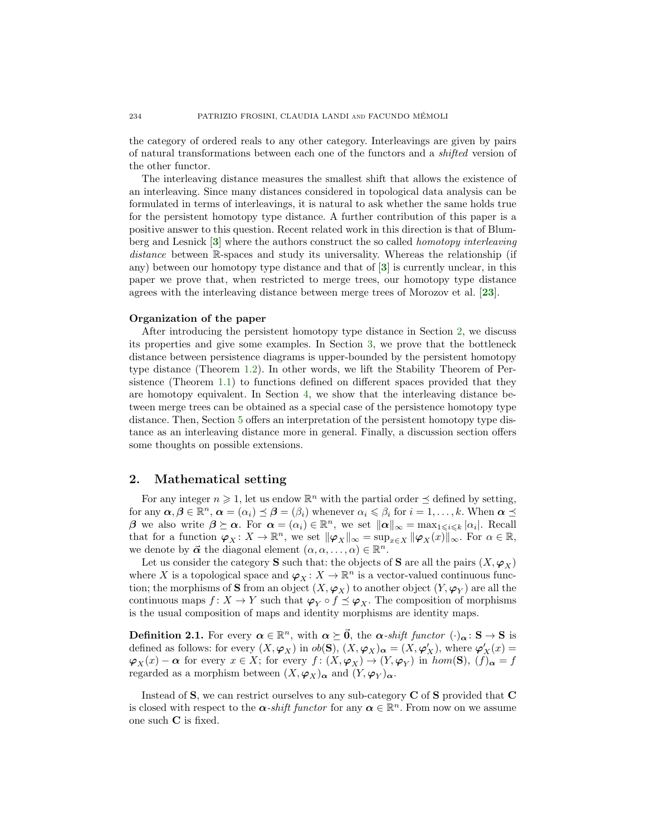the category of ordered reals to any other category. Interleavings are given by pairs of natural transformations between each one of the functors and a shifted version of the other functor.

The interleaving distance measures the smallest shift that allows the existence of an interleaving. Since many distances considered in topological data analysis can be formulated in terms of interleavings, it is natural to ask whether the same holds true for the persistent homotopy type distance. A further contribution of this paper is a positive answer to this question. Recent related work in this direction is that of Blumberg and Lesnick [[3](#page-27-6)] where the authors construct the so called homotopy interleaving distance between R-spaces and study its universality. Whereas the relationship (if any) between our homotopy type distance and that of [[3](#page-27-6)] is currently unclear, in this paper we prove that, when restricted to merge trees, our homotopy type distance agrees with the interleaving distance between merge trees of Morozov et al. [[23](#page-28-7)].

### Organization of the paper

After introducing the persistent homotopy type distance in Section [2,](#page-3-0) we discuss its properties and give some examples. In Section [3,](#page-15-0) we prove that the bottleneck distance between persistence diagrams is upper-bounded by the persistent homotopy type distance (Theorem [1.2\)](#page-1-2). In other words, we lift the Stability Theorem of Persistence (Theorem [1.1\)](#page-1-1) to functions defined on different spaces provided that they are homotopy equivalent. In Section [4,](#page-18-0) we show that the interleaving distance between merge trees can be obtained as a special case of the persistence homotopy type distance. Then, Section [5](#page-21-0) offers an interpretation of the persistent homotopy type distance as an interleaving distance more in general. Finally, a discussion section offers some thoughts on possible extensions.

# <span id="page-3-0"></span>2. Mathematical setting

For any integer  $n \geq 1$ , let us endow  $\mathbb{R}^n$  with the partial order  $\preceq$  defined by setting, for any  $\alpha, \beta \in \mathbb{R}^n$ ,  $\alpha = (\alpha_i) \preceq \beta = (\beta_i)$  whenever  $\alpha_i \leqslant \beta_i$  for  $i = 1, \ldots, k$ . When  $\alpha \preceq$ β we also write  $β \succeq α$ . For  $α = (α<sub>i</sub>) ∈ ℝ<sup>n</sup>$ , we set  $||α||_{∞} = max_{1 ≤ i ≤ k} |α<sub>i</sub>|$ . Recall that for a function  $\varphi_X \colon X \to \mathbb{R}^n$ , we set  $\|\varphi_X\|_{\infty} = \sup_{x \in X} \|\varphi_X(x)\|_{\infty}$ . For  $\alpha \in \mathbb{R}$ , we denote by  $\vec{\alpha}$  the diagonal element  $(\alpha, \alpha, \ldots, \alpha) \in \mathbb{R}^n$ .

Let us consider the category **S** such that: the objects of **S** are all the pairs  $(X, \varphi_X)$ where X is a topological space and  $\varphi_X \colon X \to \mathbb{R}^n$  is a vector-valued continuous function; the morphisms of  $\bf S$  from an object  $(X,\bm{\varphi}_X)$  to another object  $(Y,\bm{\varphi}_Y)$  are all the continuous maps  $f: X \to Y$  such that  $\varphi_Y \circ f \preceq \varphi_X$ . The composition of morphisms is the usual composition of maps and identity morphisms are identity maps.

**Definition 2.1.** For every  $\alpha \in \mathbb{R}^n$ , with  $\alpha \succeq \vec{0}$ , the  $\alpha$ -shift functor  $(\cdot)_{\alpha} : S \to S$  is defined as follows: for every  $(X, \varphi_X)$  in  $ob(S)$ ,  $(X, \varphi_X)_{\alpha} = (X, \varphi'_X)$ , where  $\varphi'_X(x) =$  $\varphi_X(x) - \alpha$  for every  $x \in X$ ; for every  $f: (X, \varphi_X) \to (Y, \varphi_Y)$  in  $hom(\mathbf{S}), (f)_{\alpha} = f$ regarded as a morphism between  $(X, \varphi_X)_{\alpha}$  and  $(Y, \varphi_Y)_{\alpha}$ .

Instead of  $S$ , we can restrict ourselves to any sub-category  $C$  of  $S$  provided that  $C$ is closed with respect to the  $\alpha$ -shift functor for any  $\alpha \in \mathbb{R}^n$ . From now on we assume one such C is fixed.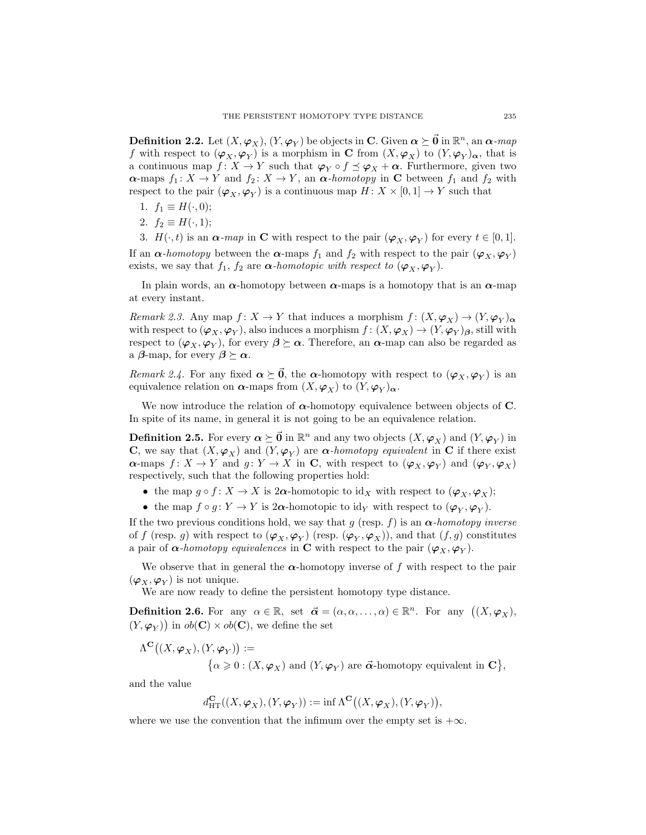<span id="page-4-1"></span>**Definition 2.2.** Let  $(X, \varphi_X)$ ,  $(Y, \varphi_Y)$  be objects in  $C$ . Given  $\boldsymbol{\alpha} \succeq \vec{0}$  in  $\mathbb{R}^n$ , an  $\boldsymbol{\alpha}$ -map f with respect to  $(\varphi_X, \varphi_Y)$  is a morphism in C from  $(X, \varphi_X)$  to  $(Y, \varphi_Y)_{\alpha}$ , that is a continuous map  $f: X \to Y$  such that  $\varphi_Y \circ f \preceq \varphi_X + \alpha$ . Furthermore, given two  $\alpha$ -maps  $f_1: X \to Y$  and  $f_2: X \to Y$ , an  $\alpha$ -homotopy in C between  $f_1$  and  $f_2$  with respect to the pair  $(\varphi_X, \varphi_Y)$  is a continuous map  $H: X \times [0, 1] \to Y$  such that

- 1.  $f_1 \equiv H(\cdot, 0);$
- 2.  $f_2 \equiv H(\cdot, 1);$
- 3.  $H(\cdot, t)$  is an  $\alpha$ -map in **C** with respect to the pair  $(\varphi_X, \varphi_Y)$  for every  $t \in [0, 1]$ .

If an  $\alpha$ -homotopy between the  $\alpha$ -maps  $f_1$  and  $f_2$  with respect to the pair  $(\varphi_X, \varphi_Y)$ exists, we say that  $f_1$ ,  $f_2$  are  $\alpha$ -homotopic with respect to  $(\varphi_X, \varphi_Y)$ .

In plain words, an  $\alpha$ -homotopy between  $\alpha$ -maps is a homotopy that is an  $\alpha$ -map at every instant.

Remark 2.3. Any map  $f: X \to Y$  that induces a morphism  $f: (X, \varphi_X) \to (Y, \varphi_Y)_{\alpha}$ with respect to  $(\varphi_X, \varphi_Y)$ , also induces a morphism  $f: (X, \varphi_X) \to (Y, \varphi_Y)_{\beta}$ , still with respect to  $(\varphi_X, \varphi_Y)$ , for every  $\beta \succeq \alpha$ . Therefore, an  $\alpha$ -map can also be regarded as a  $\beta$ -map, for every  $\beta \succeq \alpha$ .

Remark 2.4. For any fixed  $\alpha \succeq \vec{0}$ , the  $\alpha$ -homotopy with respect to  $(\varphi_X, \varphi_Y)$  is an equivalence relation on  $\alpha$ -maps from  $(X, \varphi_X)$  to  $(Y, \varphi_Y)_{\alpha}$ .

We now introduce the relation of  $\alpha$ -homotopy equivalence between objects of C. In spite of its name, in general it is not going to be an equivalence relation.

**Definition 2.5.** For every  $\boldsymbol{\alpha} \succeq \vec{0}$  in  $\mathbb{R}^n$  and any two objects  $(X, \varphi_X)$  and  $(Y, \varphi_Y)$  in **C**, we say that  $(X, \varphi_X)$  and  $(Y, \varphi_Y)$  are  $\alpha$ -homotopy equivalent in **C** if there exist  $\alpha$ -maps  $f: X \to Y$  and  $g: Y \to X$  in C, with respect to  $(\varphi_X, \varphi_Y)$  and  $(\varphi_Y, \varphi_X)$ respectively, such that the following properties hold:

- the map  $g \circ f : X \to X$  is  $2\alpha$ -homotopic to id<sub>X</sub> with respect to  $(\varphi_X, \varphi_X);$
- the map  $f \circ g : Y \to Y$  is 2 $\alpha$ -homotopic to id<sub>Y</sub> with respect to  $(\varphi_Y, \varphi_Y)$ .

If the two previous conditions hold, we say that g (resp. f) is an  $\alpha$ -homotopy inverse of f (resp. g) with respect to  $(\varphi_X, \varphi_Y)$  (resp.  $(\varphi_Y, \varphi_X)$ ), and that  $(f, g)$  constitutes a pair of  $\alpha$ -homotopy equivalences in C with respect to the pair  $(\varphi_X, \varphi_Y)$ .

We observe that in general the  $\alpha$ -homotopy inverse of f with respect to the pair  $(\varphi_X, \varphi_Y)$  is not unique.

We are now ready to define the persistent homotopy type distance.

<span id="page-4-0"></span>**Definition 2.6.** For any  $\alpha \in \mathbb{R}$ , set  $\vec{\alpha} = (\alpha, \alpha, \dots, \alpha) \in \mathbb{R}^n$ . For any  $((X, \varphi_X),$  $(Y, \varphi_Y)$  in  $ob(\mathbf{C}) \times ob(\mathbf{C})$ , we define the set

$$
\Lambda^{\mathbf{C}}\big((X,\boldsymbol{\varphi}_X),(Y,\boldsymbol{\varphi}_Y)\big):=\{\alpha\geqslant 0:(X,\boldsymbol{\varphi}_X) \text{ and } (Y,\boldsymbol{\varphi}_Y) \text{ are } \vec{\boldsymbol{\alpha}}\text{-homotopy equivalent in } \mathbf{C}\},
$$

and the value

$$
d_{\mathrm{HT}}^{\mathbf{C}}((X, \boldsymbol{\varphi}_X), (Y, \boldsymbol{\varphi}_Y)) := \inf \Lambda^{\mathbf{C}}((X, \boldsymbol{\varphi}_X), (Y, \boldsymbol{\varphi}_Y)),
$$

where we use the convention that the infimum over the empty set is  $+\infty$ .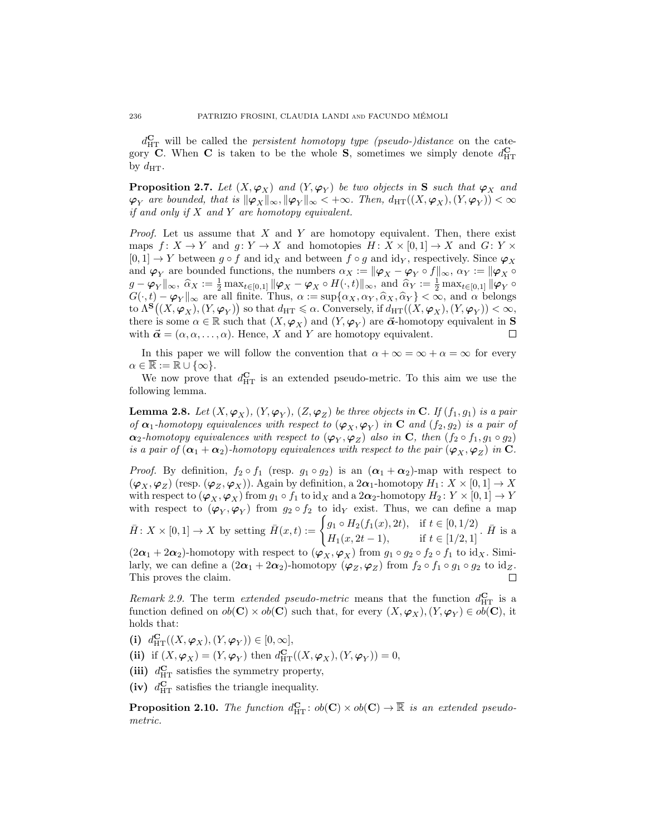$d_{\text{HT}}^{\text{C}}$  will be called the *persistent homotopy type (pseudo-)distance* on the category C. When C is taken to be the whole S, sometimes we simply denote  $d_{\text{HT}}^{\text{C}}$ by  $d_{\text{HT}}$ .

**Proposition 2.7.** Let  $(X, \varphi_X)$  and  $(Y, \varphi_Y)$  be two objects in S such that  $\varphi_X$  and  $\varphi_Y$  are bounded, that is  $\|\varphi_X\|_\infty, \|\varphi_Y\|_\infty < +\infty$ . Then,  $d_{\mathrm{HT}}((X, \varphi_X), (Y, \varphi_Y)) < \infty$ if and only if  $X$  and  $Y$  are homotopy equivalent.

*Proof.* Let us assume that X and Y are homotopy equivalent. Then, there exist maps  $f: X \to Y$  and  $g: Y \to X$  and homotopies  $H: X \times [0,1] \to X$  and  $G: Y \times Y$  $[0, 1] \rightarrow Y$  between  $g \circ f$  and id<sub>X</sub> and between  $f \circ g$  and id<sub>Y</sub>, respectively. Since  $\varphi_X$ and  $\varphi_Y$  are bounded functions, the numbers  $\alpha_X := \|\varphi_X - \varphi_Y \circ f\|_{\infty}$ ,  $\alpha_Y := \|\varphi_X \circ f\|_{\infty}$  $g - \varphi_Y \|_{\infty}$ ,  $\hat{\alpha}_X := \frac{1}{2} \max_{t \in [0,1]} \|\varphi_X - \varphi_X \circ H(\cdot,t)\|_{\infty}$ , and  $\hat{\alpha}_Y := \frac{1}{2} \max_{t \in [0,1]} \|\varphi_Y \circ H(\cdot,t)\|_{\infty}$  $G(\cdot, t) - \varphi_Y \|_{\infty}$  are all finite. Thus,  $\alpha := \sup{\{\alpha_X, \alpha_Y, \widehat{\alpha}_X, \widehat{\alpha}_Y\}} < \infty$ , and  $\alpha$  belongs to  $\Lambda^{\bf S}\big((X,\bm{\varphi}_X),(Y,\bm{\varphi}_Y)\big)$  so that  $d_{\mathrm{HT}}\leqslant \alpha.$  Conversely, if  $d_{\mathrm{HT}}((X,\bm{\varphi}_X),(Y,\bm{\varphi}_Y)) < \infty,$ there is some  $\alpha \in \mathbb{R}$  such that  $(X, \varphi_X)$  and  $(Y, \varphi_Y)$  are  $\vec{\alpha}$ -homotopy equivalent in **S** with  $\vec{\alpha} = (\alpha, \alpha, \dots, \alpha)$ . Hence, X and Y are homotopy equivalent. П

In this paper we will follow the convention that  $\alpha + \infty = \infty + \alpha = \infty$  for every  $\alpha \in \mathbb{R} := \mathbb{R} \cup \{\infty\}.$ 

We now prove that  $d_{\text{HT}}^{\text{C}}$  is an extended pseudo-metric. To this aim we use the following lemma.

<span id="page-5-0"></span>**Lemma 2.8.** Let  $(X, \varphi_X)$ ,  $(Y, \varphi_Y)$ ,  $(Z, \varphi_Z)$  be three objects in C. If  $(f_1, g_1)$  is a pair of  $\alpha_1$ -homotopy equivalences with respect to  $(\varphi_X, \varphi_Y)$  in C and  $(f_2, g_2)$  is a pair of  $\alpha_2$ -homotopy equivalences with respect to  $(\varphi_Y, \varphi_Z)$  also in C, then  $(f_2 \circ f_1, g_1 \circ g_2)$ is a pair of  $(\alpha_1 + \alpha_2)$ -homotopy equivalences with respect to the pair  $(\varphi_X, \varphi_Z)$  in C.

*Proof.* By definition,  $f_2 \circ f_1$  (resp.  $g_1 \circ g_2$ ) is an  $(\alpha_1 + \alpha_2)$ -map with respect to  $(\varphi_X, \varphi_Z)$  (resp.  $(\varphi_Z, \varphi_X)$ ). Again by definition, a  $2\alpha_1$ -homotopy  $H_1: X \times [0,1] \to X$ with respect to  $(\varphi_X, \varphi_X)$  from  $g_1 \circ f_1$  to  $\mathrm{id}_X$  and a  $2\alpha_2$ -homotopy  $H_2 \colon Y \times [0,1] \to Y$ with respect to  $(\varphi_Y, \varphi_Y)$  from  $g_2 \circ f_2$  to id<sub>Y</sub> exist. Thus, we can define a map

 $\bar{H} \colon X \times [0,1] \to X$  by setting  $\bar{H}(x,t) := \begin{cases} g_1 \circ H_2(f_1(x), 2t), & \text{if } t \in [0,1/2] \\ H_1(x, 2t), & \text{if } t \in [0,1/2] \end{cases}$  $H_1(x, 2t-1),$  if  $t \in [1/2, 1]$ .  $\bar{H}$  is a

 $(2\alpha_1 + 2\alpha_2)$ -homotopy with respect to  $(\varphi_X, \varphi_X)$  from  $g_1 \circ g_2 \circ f_2 \circ f_1$  to id<sub>X</sub>. Similarly, we can define a  $(2\alpha_1 + 2\alpha_2)$ -homotopy  $(\varphi_Z, \varphi_Z)$  from  $f_2 \circ f_1 \circ g_1 \circ g_2$  to  $id_Z$ . This proves the claim. П

Remark 2.9. The term extended pseudo-metric means that the function  $d_{\text{HT}}^{\text{C}}$  is a function defined on  $ob(\mathbf{C}) \times ob(\mathbf{C})$  such that, for every  $(X, \varphi_X)$ ,  $(Y, \varphi_Y) \in ob(\mathbf{C})$ , it holds that:

(i)  $d_{\mathrm{HT}}^{\mathbf{C}}((X, \varphi_X), (Y, \varphi_Y)) \in [0, \infty],$ 

(ii) if  $(X, \varphi_X) = (Y, \varphi_Y)$  then  $d_{\mathrm{HT}}^{\mathbf{C}}((X, \varphi_X), (Y, \varphi_Y)) = 0$ ,

(iii)  $d_{\text{HT}}^{\text{C}}$  satisfies the symmetry property,

(iv)  $d_{\text{HT}}^{\text{C}}$  satisfies the triangle inequality.

**Proposition 2.10.** The function  $d_{\text{HT}}^{\mathbf{C}}: ob(\mathbf{C}) \times ob(\mathbf{C}) \to \overline{\mathbb{R}}$  is an extended pseudometric.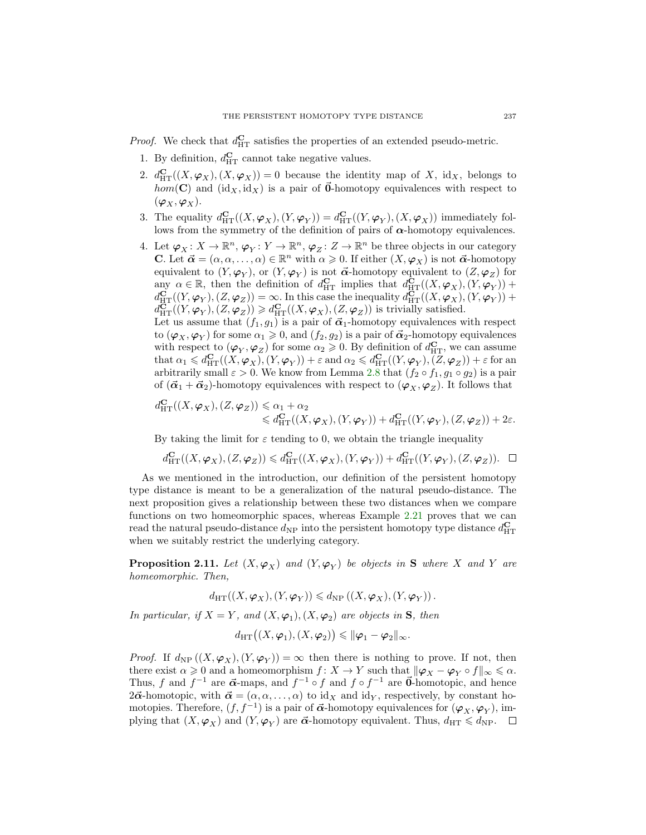*Proof.* We check that  $d_{\text{HT}}^{\text{C}}$  satisfies the properties of an extended pseudo-metric.

- 1. By definition,  $d_{\text{HT}}^{\text{C}}$  cannot take negative values.
- 2.  $d_{\text{HT}}^{\mathbf{C}}((X,\boldsymbol{\varphi}_X),(X,\boldsymbol{\varphi}_X))=0$  because the identity map of X, id<sub>X</sub>, belongs to  $hom(C)$  and  $(id_X, id_X)$  is a pair of  $\vec{0}$ -homotopy equivalences with respect to  $(\varphi_X, \varphi_X).$
- 3. The equality  $d_{\mathrm{HT}}^{\mathbf{C}}((X, \varphi_X), (Y, \varphi_Y)) = d_{\mathrm{HT}}^{\mathbf{C}}((Y, \varphi_Y), (X, \varphi_X))$  immediately follows from the symmetry of the definition of pairs of  $\alpha$ -homotopy equivalences.
- 4. Let  $\varphi_X \colon X \to \mathbb{R}^n$ ,  $\varphi_Y \colon Y \to \mathbb{R}^n$ ,  $\varphi_Z \colon Z \to \mathbb{R}^n$  be three objects in our category **C.** Let  $\vec{\alpha} = (\alpha, \alpha, \dots, \alpha) \in \mathbb{R}^n$  with  $\alpha \geq 0$ . If either  $(X, \varphi_X)$  is not  $\vec{\alpha}$ -homotopy equivalent to  $(Y, \varphi_Y)$ , or  $(Y, \varphi_Y)$  is not  $\vec{\alpha}$ -homotopy equivalent to  $(Z, \varphi_Z)$  for any  $\alpha \in \mathbb{R}$ , then the definition of  $d_{\mathrm{HT}}^{\mathbf{C}}$  implies that  $d_{\mathrm{HT}}^{\mathbf{C}}((X, \varphi_X), (Y, \varphi_Y))$  +  $d_{\mathrm{HT}}^{\mathbf{C}}((Y,\boldsymbol{\varphi}_Y),(Z,\boldsymbol{\varphi}_Z))=\infty.$  In this case the inequality  $d_{\mathrm{HT}}^{\mathbf{C}}((X,\boldsymbol{\varphi}_X),(Y,\boldsymbol{\varphi}_Y))+$  $d_{\mathrm{HT}}^{\mathbf{\hat{C}}}((Y,\boldsymbol{\varphi}_Y),(Z,\boldsymbol{\varphi}_Z)) \geq d_{\mathrm{HT}}^{\mathbf{\hat{C}}}((X,\boldsymbol{\varphi}_X),(Z,\boldsymbol{\varphi}_Z))$  is trivially satisfied.

Let us assume that  $(f_1, g_1)$  is a pair of  $\vec{\alpha}_1$ -homotopy equivalences with respect to  $(\varphi_X, \varphi_Y)$  for some  $\alpha_1 \geqslant 0$ , and  $(f_2, g_2)$  is a pair of  $\vec{\alpha}_2$ -homotopy equivalences with respect to  $(\varphi_Y, \varphi_Z)$  for some  $\alpha_2 \geq 0$ . By definition of  $d_{\mathrm{HT}}^{\mathbf{C}}$ , we can assume that  $\alpha_1 \leqslant d_{\mathrm{HT}}^{\mathbf{C}}((X, \varphi_X), (Y, \varphi_Y)) + \varepsilon$  and  $\alpha_2 \leqslant d_{\mathrm{HT}}^{\mathbf{C}}((Y, \varphi_Y), (Z, \varphi_Z)) + \varepsilon$  for an arbitrarily small  $\varepsilon > 0$ . We know from Lemma [2.8](#page-5-0) that  $(f_2 \circ f_1, g_1 \circ g_2)$  is a pair of  $(\vec{\alpha}_1 + \vec{\alpha}_2)$ -homotopy equivalences with respect to  $(\varphi_X, \varphi_Z)$ . It follows that

$$
d_{\mathrm{HT}}^{\mathbf{C}}((X,\varphi_X),(Z,\varphi_Z)) \leq \alpha_1 + \alpha_2
$$
  

$$
\leq d_{\mathrm{HT}}^{\mathbf{C}}((X,\varphi_X),(Y,\varphi_Y)) + d_{\mathrm{HT}}^{\mathbf{C}}((Y,\varphi_Y),(Z,\varphi_Z)) + 2\varepsilon.
$$

By taking the limit for  $\varepsilon$  tending to 0, we obtain the triangle inequality

$$
d_{\mathrm{HT}}^{\mathbf{C}}((X,\boldsymbol{\varphi}_X),(Z,\boldsymbol{\varphi}_Z)) \leq d_{\mathrm{HT}}^{\mathbf{C}}((X,\boldsymbol{\varphi}_X),(Y,\boldsymbol{\varphi}_Y)) + d_{\mathrm{HT}}^{\mathbf{C}}((Y,\boldsymbol{\varphi}_Y),(Z,\boldsymbol{\varphi}_Z)). \quad \Box
$$

As we mentioned in the introduction, our definition of the persistent homotopy type distance is meant to be a generalization of the natural pseudo-distance. The next proposition gives a relationship between these two distances when we compare functions on two homeomorphic spaces, whereas Example [2.21](#page-12-0) proves that we can read the natural pseudo-distance  $d_{\text{NP}}$  into the persistent homotopy type distance  $d_{\text{HT}}^{\text{C}}$ when we suitably restrict the underlying category.

<span id="page-6-0"></span>**Proposition 2.11.** Let  $(X, \varphi_X)$  and  $(Y, \varphi_Y)$  be objects in S where X and Y are homeomorphic. Then,

$$
d_{\mathrm{HT}}((X, \varphi_X), (Y, \varphi_Y)) \leq d_{\mathrm{NP}}\left((X, \varphi_X), (Y, \varphi_Y)\right).
$$

In particular, if  $X = Y$ , and  $(X, \varphi_1), (X, \varphi_2)$  are objects in **S**, then

$$
d_{\mathrm{HT}}\big((X,\boldsymbol{\varphi}_1),(X,\boldsymbol{\varphi}_2)\big)\leqslant \|\boldsymbol{\varphi}_1-\boldsymbol{\varphi}_2\|_{\infty}.
$$

*Proof.* If  $d_{\rm NP}((X,\varphi_X),(Y,\varphi_Y)) = \infty$  then there is nothing to prove. If not, then there exist  $\alpha \geq 0$  and a homeomorphism  $f: X \to Y$  such that  $\|\varphi_X - \varphi_Y \circ f\|_{\infty} \leq \alpha$ . Thus, f and  $f^{-1}$  are  $\vec{\alpha}$ -maps, and  $f^{-1} \circ f$  and  $f \circ f^{-1}$  are  $\vec{0}$ -homotopic, and hence  $2\vec{\alpha}$ -homotopic, with  $\vec{\alpha} = (\alpha, \alpha, \dots, \alpha)$  to id<sub>X</sub> and id<sub>Y</sub>, respectively, by constant homotopies. Therefore,  $(f, f^{-1})$  is a pair of  $\vec{\alpha}$ -homotopy equivalences for  $(\varphi_X, \varphi_Y)$ , implying that  $(X, \varphi_X)$  and  $(Y, \varphi_Y)$  are  $\vec{\alpha}$ -homotopy equivalent. Thus,  $d_{\text{HT}} \leq d_{\text{NP}}$ .  $\Box$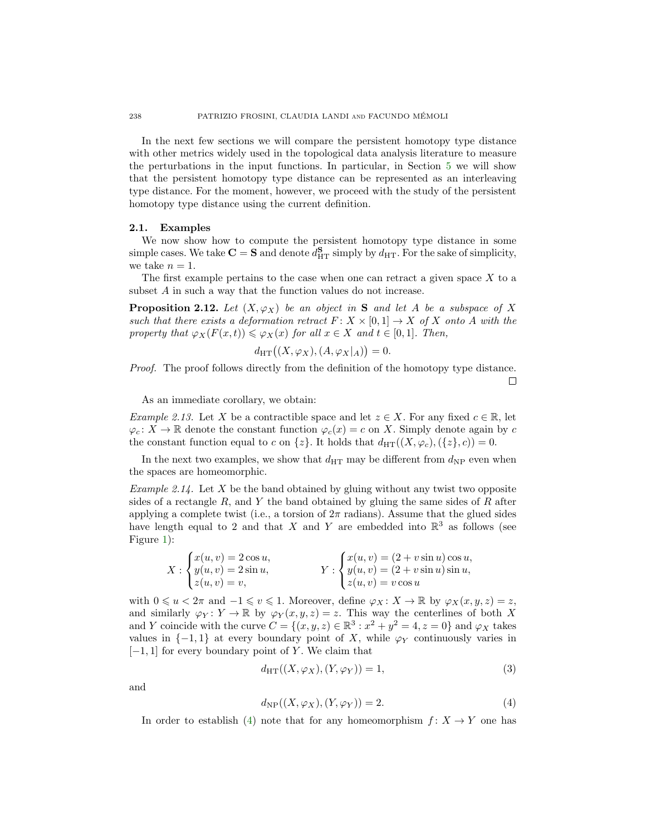In the next few sections we will compare the persistent homotopy type distance with other metrics widely used in the topological data analysis literature to measure the perturbations in the input functions. In particular, in Section [5](#page-21-0) we will show that the persistent homotopy type distance can be represented as an interleaving type distance. For the moment, however, we proceed with the study of the persistent homotopy type distance using the current definition.

### 2.1. Examples

We now show how to compute the persistent homotopy type distance in some simple cases. We take  $\mathbf{C} = \mathbf{S}$  and denote  $d_{\text{HT}}^{\mathbf{S}}$  simply by  $d_{\text{HT}}$ . For the sake of simplicity, we take  $n = 1$ .

The first example pertains to the case when one can retract a given space  $X$  to a subset A in such a way that the function values do not increase.

<span id="page-7-3"></span>**Proposition 2.12.** Let  $(X, \varphi_X)$  be an object in S and let A be a subspace of X such that there exists a deformation retract  $F: X \times [0,1] \to X$  of X onto A with the property that  $\varphi_X(F(x,t)) \leq \varphi_X(x)$  for all  $x \in X$  and  $t \in [0,1]$ . Then,

$$
d_{\mathrm{HT}}\big((X,\varphi_X),(A,\varphi_X|_A)\big)=0.
$$

Proof. The proof follows directly from the definition of the homotopy type distance.  $\Box$ 

As an immediate corollary, we obtain:

*Example 2.13.* Let X be a contractible space and let  $z \in X$ . For any fixed  $c \in \mathbb{R}$ , let  $\varphi_c: X \to \mathbb{R}$  denote the constant function  $\varphi_c(x) = c$  on X. Simply denote again by c the constant function equal to c on  $\{z\}$ . It holds that  $d_{\text{HT}}((X,\varphi_c),(\{z\},c))=0$ .

In the next two examples, we show that  $d_{\text{HT}}$  may be different from  $d_{\text{NP}}$  even when the spaces are homeomorphic.

<span id="page-7-1"></span>*Example 2.14.* Let X be the band obtained by gluing without any twist two opposite sides of a rectangle R, and Y the band obtained by gluing the same sides of R after applying a complete twist (i.e., a torsion of  $2\pi$  radians). Assume that the glued sides have length equal to 2 and that X and Y are embedded into  $\mathbb{R}^3$  as follows (see Figure [1\)](#page-8-0):

$$
X: \begin{cases} x(u,v) = 2\cos u, \\ y(u,v) = 2\sin u, \\ z(u,v) = v, \end{cases} Y: \begin{cases} x(u,v) = (2 + v\sin u)\cos u, \\ y(u,v) = (2 + v\sin u)\sin u, \\ z(u,v) = v\cos u \end{cases}
$$

with  $0 \leq u < 2\pi$  and  $-1 \leq v \leq 1$ . Moreover, define  $\varphi_X \colon X \to \mathbb{R}$  by  $\varphi_X(x, y, z) = z$ , and similarly  $\varphi_Y : Y \to \mathbb{R}$  by  $\varphi_Y(x, y, z) = z$ . This way the centerlines of both X and Y coincide with the curve  $C = \{(x, y, z) \in \mathbb{R}^3 : x^2 + y^2 = 4, z = 0\}$  and  $\varphi_X$  takes values in  $\{-1, 1\}$  at every boundary point of X, while  $\varphi_Y$  continuously varies in  $[-1, 1]$  for every boundary point of Y. We claim that

<span id="page-7-2"></span>
$$
d_{\mathrm{HT}}((X,\varphi_X),(Y,\varphi_Y)) = 1,\tag{3}
$$

and

<span id="page-7-0"></span>
$$
d_{\rm NP}((X,\varphi_X),(Y,\varphi_Y)) = 2.
$$
\n<sup>(4)</sup>

In order to establish [\(4\)](#page-7-0) note that for any homeomorphism  $f: X \to Y$  one has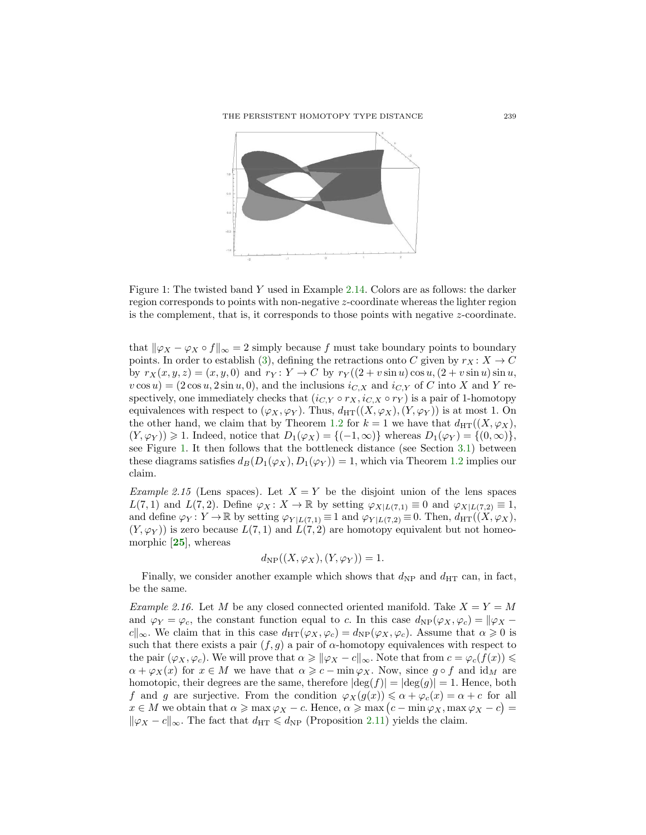

<span id="page-8-0"></span>Figure 1: The twisted band Y used in Example [2.14.](#page-7-1) Colors are as follows: the darker region corresponds to points with non-negative z-coordinate whereas the lighter region is the complement, that is, it corresponds to those points with negative z-coordinate.

that  $\|\varphi_X - \varphi_X \circ f\|_{\infty} = 2$  simply because f must take boundary points to boundary points. In order to establish [\(3\)](#page-7-2), defining the retractions onto C given by  $r_X: X \to C$ by  $r_X(x, y, z) = (x, y, 0)$  and  $r_Y : Y \to C$  by  $r_Y((2 + v \sin u) \cos u, (2 + v \sin u) \sin u,$  $v \cos u$  =  $(2 \cos u, 2 \sin u, 0)$ , and the inclusions  $i_{C,X}$  and  $i_{C,Y}$  of C into X and Y respectively, one immediately checks that  $(i_{C,Y} \circ r_X, i_{C,X} \circ r_Y)$  is a pair of 1-homotopy equivalences with respect to  $(\varphi_X, \varphi_Y)$ . Thus,  $d_{\text{HT}}((X, \varphi_X), (Y, \varphi_Y))$  is at most 1. On the other hand, we claim that by Theorem [1.2](#page-1-2) for  $k = 1$  we have that  $d_{\text{HT}}((X, \varphi_X),$  $(Y, \varphi_Y) \geq 1$ . Indeed, notice that  $D_1(\varphi_X) = \{(-1, \infty)\}\$  whereas  $D_1(\varphi_Y) = \{(0, \infty)\}\$ , see Figure [1.](#page-8-0) It then follows that the bottleneck distance (see Section [3.1\)](#page-15-1) between these diagrams satisfies  $d_B(D_1(\varphi_X), D_1(\varphi_Y)) = 1$ , which via Theorem [1.2](#page-1-2) implies our claim.

*Example 2.15* (Lens spaces). Let  $X = Y$  be the disjoint union of the lens spaces  $L(7,1)$  and  $L(7,2)$ . Define  $\varphi_X\colon X\to\mathbb{R}$  by setting  $\varphi_{X|L(7,1)}\equiv 0$  and  $\varphi_{X|L(7,2)}\equiv 1$ , and define  $\varphi_Y : Y \to \mathbb{R}$  by setting  $\varphi_{Y|L(7,1)} \equiv 1$  and  $\varphi_{Y|L(7,2)} \equiv 0$ . Then,  $d_{\text{HT}}((X,\varphi_X),$  $(Y, \varphi_Y)$  is zero because  $L(7, 1)$  and  $L(7, 2)$  are homotopy equivalent but not homeomorphic [[25](#page-28-8)], whereas

$$
d_{\rm NP}((X,\varphi_X),(Y,\varphi_Y))=1.
$$

Finally, we consider another example which shows that  $d_{\rm NP}$  and  $d_{\rm HT}$  can, in fact, be the same.

*Example 2.16.* Let M be any closed connected oriented manifold. Take  $X = Y = M$ and  $\varphi_Y = \varphi_c$ , the constant function equal to c. In this case  $d_{NP}(\varphi_X, \varphi_c) = ||\varphi_X$ c<sup>k</sup><sub>∞</sub>. We claim that in this case  $d_{\text{HT}}(\varphi_X, \varphi_c) = d_{\text{NP}}(\varphi_X, \varphi_c)$ . Assume that  $\alpha \geq 0$  is such that there exists a pair  $(f, g)$  a pair of  $\alpha$ -homotopy equivalences with respect to the pair  $(\varphi_X, \varphi_c)$ . We will prove that  $\alpha \geq \|\varphi_X - c\|_{\infty}$ . Note that from  $c = \varphi_c(f(x)) \leq$  $\alpha + \varphi_X(x)$  for  $x \in M$  we have that  $\alpha \geqslant c - \min \varphi_X$ . Now, since  $g \circ f$  and  $\mathrm{id}_M$  are homotopic, their degrees are the same, therefore  $|\deg(f)| = |\deg(g)| = 1$ . Hence, both f and g are surjective. From the condition  $\varphi_X(g(x)) \leq \alpha + \varphi_c(x) = \alpha + c$  for all  $x \in M$  we obtain that  $\alpha \geqslant \max \varphi_X - c$ . Hence,  $\alpha \geqslant \max (c - \min \varphi_X, \max \varphi_X - c)$  $\|\varphi_X - c\|_{\infty}$ . The fact that  $d_{\text{HT}} \leq d_{\text{NP}}$  (Proposition [2.11\)](#page-6-0) yields the claim.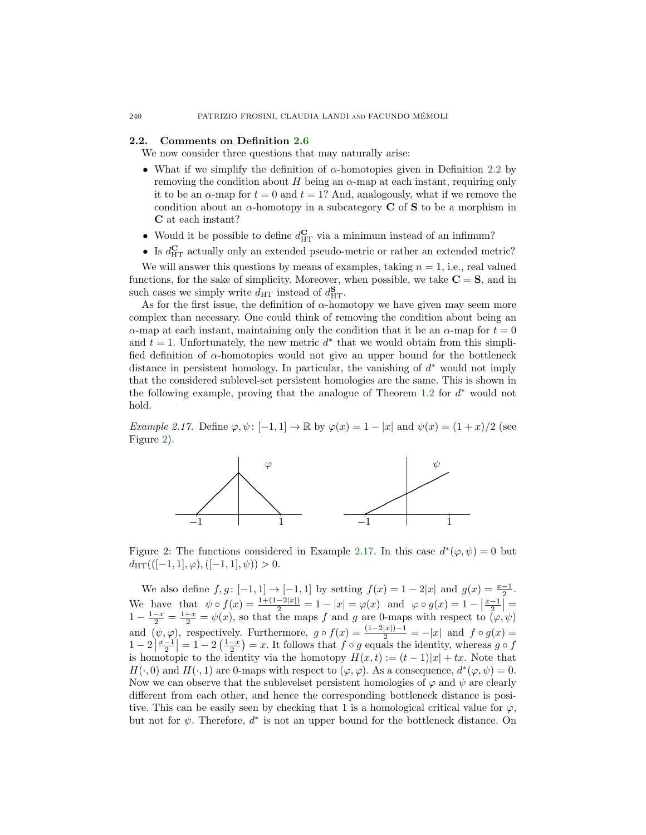### 2.2. Comments on Definition [2.6](#page-4-0)

We now consider three questions that may naturally arise:

- What if we simplify the definition of  $\alpha$ -homotopies given in Definition [2.2](#page-4-1) by removing the condition about H being an  $\alpha$ -map at each instant, requiring only it to be an  $\alpha$ -map for  $t = 0$  and  $t = 1$ ? And, analogously, what if we remove the condition about an  $\alpha$ -homotopy in a subcategory **C** of **S** to be a morphism in C at each instant?
- Would it be possible to define  $d_{\text{HT}}^{\text{C}}$  via a minimum instead of an infimum?
- Is  $d_{\text{HT}}^{\text{C}}$  actually only an extended pseudo-metric or rather an extended metric?

We will answer this questions by means of examples, taking  $n = 1$ , i.e., real valued functions, for the sake of simplicity. Moreover, when possible, we take  $C = S$ , and in such cases we simply write  $d_{\text{HT}}$  instead of  $d_{\text{HT}}^{\mathbf{S}}$ .

As for the first issue, the definition of  $\alpha$ -homotopy we have given may seem more complex than necessary. One could think of removing the condition about being an  $\alpha$ -map at each instant, maintaining only the condition that it be an  $\alpha$ -map for  $t = 0$ and  $t = 1$ . Unfortunately, the new metric  $d^*$  that we would obtain from this simplified definition of  $\alpha$ -homotopies would not give an upper bound for the bottleneck distance in persistent homology. In particular, the vanishing of  $d^*$  would not imply that the considered sublevel-set persistent homologies are the same. This is shown in the following example, proving that the analogue of Theorem  $1.2$  for  $d^*$  would not hold.

<span id="page-9-1"></span>Example 2.17. Define  $\varphi, \psi : [-1, 1] \to \mathbb{R}$  by  $\varphi(x) = 1 - |x|$  and  $\psi(x) = (1 + x)/2$  (see Figure [2\)](#page-9-0).



<span id="page-9-0"></span>Figure 2: The functions considered in Example [2.17.](#page-9-1) In this case  $d^*(\varphi, \psi) = 0$  but  $d_{\text{HT}}(([-1,1], \varphi), ([-1,1], \psi)) > 0.$ 

We also define  $f, g: [-1, 1] \to [-1, 1]$  by setting  $f(x) = 1 - 2|x|$  and  $g(x) = \frac{x-1}{2}$ . We have that  $\psi \circ f(x) = \frac{1 + (1 - 2|x|)}{2} = 1 - |x| = \varphi(x)$  and  $\varphi \circ g(x) = 1 - \left|\frac{x-1}{2}\right| = 1 - \frac{1-x}{2} = \frac{1+x}{2} = \psi(x)$ , so that the maps f and g are 0-maps with respect to  $(\varphi, \psi)$ and  $(\psi, \varphi)$ , respectively. Furthermore,  $g \circ f(x) = \frac{(1-2|x|)-1}{2} = -|x|$  and  $f \circ g(x) =$  $1-2\left|\frac{x-1}{2}\right|=1-2\left(\frac{1-x}{2}\right)=x$ . It follows that  $f \circ g$  equals the identity, whereas  $g \circ f$ is homotopic to the identity via the homotopy  $H(x,t) := (t-1)|x| + tx$ . Note that  $H(\cdot,0)$  and  $H(\cdot,1)$  are 0-maps with respect to  $(\varphi,\varphi)$ . As a consequence,  $d^*(\varphi,\psi)=0$ . Now we can observe that the sublevelset persistent homologies of  $\varphi$  and  $\psi$  are clearly different from each other, and hence the corresponding bottleneck distance is positive. This can be easily seen by checking that 1 is a homological critical value for  $\varphi$ , but not for  $\psi$ . Therefore,  $d^*$  is not an upper bound for the bottleneck distance. On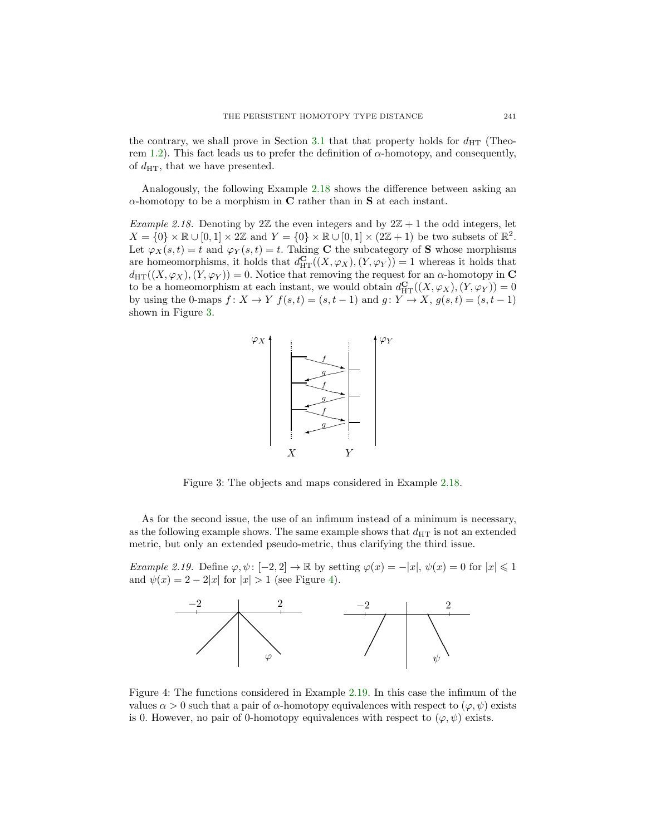the contrary, we shall prove in Section [3.1](#page-15-1) that that property holds for  $d_{\text{HT}}$  (Theo-rem [1.2\)](#page-1-2). This fact leads us to prefer the definition of  $\alpha$ -homotopy, and consequently, of  $d_{\text{HT}}$ , that we have presented.

Analogously, the following Example [2.18](#page-10-0) shows the difference between asking an  $\alpha$ -homotopy to be a morphism in C rather than in S at each instant.

<span id="page-10-0"></span>*Example 2.18.* Denoting by 2 $\mathbb{Z}$  the even integers and by  $2\mathbb{Z}+1$  the odd integers, let  $X = \{0\} \times \mathbb{R} \cup [0,1] \times 2\mathbb{Z}$  and  $Y = \{0\} \times \mathbb{R} \cup [0,1] \times (2\mathbb{Z}+1)$  be two subsets of  $\mathbb{R}^2$ . Let  $\varphi_X(s,t) = t$  and  $\varphi_Y(s,t) = t$ . Taking C the subcategory of S whose morphisms are homeomorphisms, it holds that  $d_{\mathrm{HT}}^{\mathbf{C}}((X,\varphi_X),(Y,\varphi_Y))=1$  whereas it holds that  $d_{\text{HT}}((X,\varphi_X),(Y,\varphi_Y)) = 0.$  Notice that removing the request for an  $\alpha$ -homotopy in C to be a homeomorphism at each instant, we would obtain  $d_{\mathrm{HT}}^{\mathbf{C}}((X,\varphi_X),(Y,\varphi_Y))=0$ by using the 0-maps  $f: X \to Y$   $f(s,t) = (s,t-1)$  and  $g: Y \to X$ ,  $g(s,t) = (s,t-1)$ shown in Figure [3.](#page-10-1)



<span id="page-10-1"></span>Figure 3: The objects and maps considered in Example [2.18.](#page-10-0)

As for the second issue, the use of an infimum instead of a minimum is necessary, as the following example shows. The same example shows that  $d_{\text{HT}}$  is not an extended metric, but only an extended pseudo-metric, thus clarifying the third issue.

<span id="page-10-3"></span>Example 2.19. Define  $\varphi, \psi : [-2, 2] \to \mathbb{R}$  by setting  $\varphi(x) = -|x|, \psi(x) = 0$  for  $|x| \leq 1$ and  $\psi(x) = 2 - 2|x|$  for  $|x| > 1$  (see Figure [4\)](#page-10-2).



<span id="page-10-2"></span>Figure 4: The functions considered in Example [2.19.](#page-10-3) In this case the infimum of the values  $\alpha > 0$  such that a pair of  $\alpha$ -homotopy equivalences with respect to  $(\varphi, \psi)$  exists is 0. However, no pair of 0-homotopy equivalences with respect to  $(\varphi, \psi)$  exists.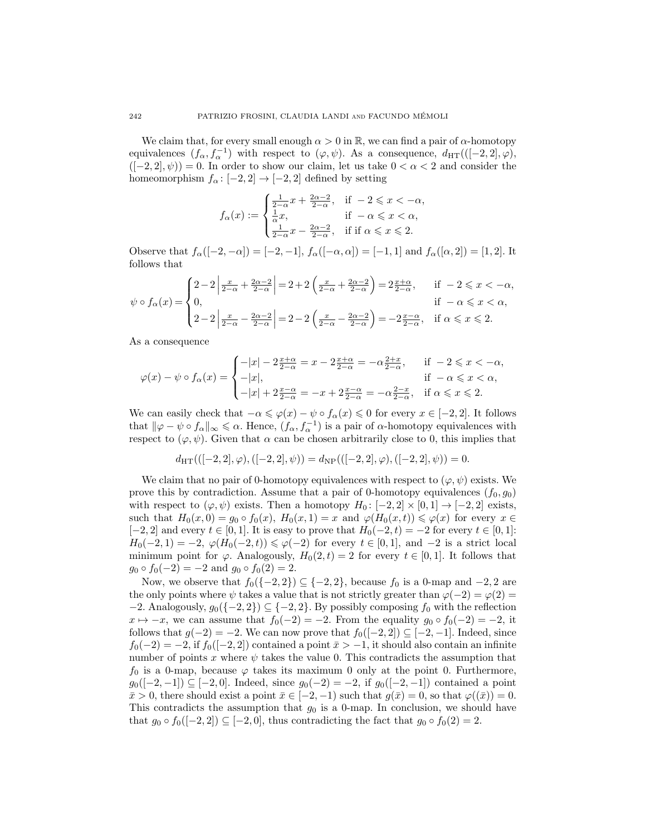We claim that, for every small enough  $\alpha > 0$  in  $\mathbb{R}$ , we can find a pair of  $\alpha$ -homotopy equivalences  $(f_{\alpha}, f_{\alpha}^{-1})$  with respect to  $(\varphi, \psi)$ . As a consequence,  $d_{\text{HT}}(([-2, 2], \varphi)$ ,  $([-2, 2], \psi)$  = 0. In order to show our claim, let us take  $0 < \alpha < 2$  and consider the homeomorphism  $f_{\alpha} : [-2, 2] \rightarrow [-2, 2]$  defined by setting

$$
f_{\alpha}(x) := \begin{cases} \frac{1}{2-\alpha}x + \frac{2\alpha - 2}{2-\alpha}, & \text{if } -2 \leq x < -\alpha, \\ \frac{1}{\alpha}x, & \text{if } -\alpha \leq x < \alpha, \\ \frac{1}{2-\alpha}x - \frac{2\alpha - 2}{2-\alpha}, & \text{if if } \alpha \leq x \leq 2. \end{cases}
$$

Observe that  $f_{\alpha}([-2, -\alpha]) = [-2, -1], f_{\alpha}([- \alpha, \alpha]) = [-1, 1]$  and  $f_{\alpha}([\alpha, 2]) = [1, 2]$ . It follows that

$$
\psi \circ f_{\alpha}(x) = \begin{cases} 2 - 2 \left| \frac{x}{2 - \alpha} + \frac{2\alpha - 2}{2 - \alpha} \right| = 2 + 2 \left( \frac{x}{2 - \alpha} + \frac{2\alpha - 2}{2 - \alpha} \right) = 2 \frac{x + \alpha}{2 - \alpha}, & \text{if } -2 \leq x < -\alpha, \\ 0, & \text{if } -\alpha \leq x < \alpha, \\ 2 - 2 \left| \frac{x}{2 - \alpha} - \frac{2\alpha - 2}{2 - \alpha} \right| = 2 - 2 \left( \frac{x}{2 - \alpha} - \frac{2\alpha - 2}{2 - \alpha} \right) = -2 \frac{x - \alpha}{2 - \alpha}, & \text{if } \alpha \leq x \leq 2. \end{cases}
$$

As a consequence

$$
\varphi(x) - \psi \circ f_{\alpha}(x) = \begin{cases}\n-|x| - 2\frac{x + \alpha}{2 - \alpha} = x - 2\frac{x + \alpha}{2 - \alpha} = -\alpha \frac{2 + x}{2 - \alpha}, & \text{if } -2 \leq x < -\alpha, \\
-|x|, & \text{if } -\alpha \leq x < \alpha, \\
-|x| + 2\frac{x - \alpha}{2 - \alpha} = -x + 2\frac{x - \alpha}{2 - \alpha} = -\alpha \frac{2 - x}{2 - \alpha}, & \text{if } \alpha \leq x \leq 2.\n\end{cases}
$$

We can easily check that  $-\alpha \leqslant \varphi(x) - \psi \circ f_\alpha(x) \leqslant 0$  for every  $x \in [-2, 2]$ . It follows that  $\|\varphi - \psi \circ f_\alpha\|_{\infty} \leq \alpha$ . Hence,  $(f_\alpha, f_\alpha^{-1})$  is a pair of  $\alpha$ -homotopy equivalences with respect to  $(\varphi, \psi)$ . Given that  $\alpha$  can be chosen arbitrarily close to 0, this implies that

$$
d_{\text{HT}}(((-2,2],\varphi),([-2,2],\psi)) = d_{\text{NP}}(((-2,2],\varphi),([-2,2],\psi)) = 0.
$$

We claim that no pair of 0-homotopy equivalences with respect to  $(\varphi, \psi)$  exists. We prove this by contradiction. Assume that a pair of 0-homotopy equivalences  $(f_0, g_0)$ with respect to  $(\varphi, \psi)$  exists. Then a homotopy  $H_0: [-2, 2] \times [0, 1] \rightarrow [-2, 2]$  exists, such that  $H_0(x, 0) = g_0 \circ f_0(x)$ ,  $H_0(x, 1) = x$  and  $\varphi(H_0(x, t)) \leq \varphi(x)$  for every  $x \in$  $[-2, 2]$  and every  $t \in [0, 1]$ . It is easy to prove that  $H_0(-2, t) = -2$  for every  $t \in [0, 1]$ :  $H_0(-2, 1) = -2$ ,  $\varphi(H_0(-2, t)) \le \varphi(-2)$  for every  $t \in [0, 1]$ , and  $-2$  is a strict local minimum point for  $\varphi$ . Analogously,  $H_0(2, t) = 2$  for every  $t \in [0, 1]$ . It follows that  $g_0 \circ f_0(-2) = -2$  and  $g_0 \circ f_0(2) = 2$ .

Now, we observe that  $f_0(\{-2, 2\}) \subseteq \{-2, 2\}$ , because  $f_0$  is a 0-map and  $-2, 2$  are the only points where  $\psi$  takes a value that is not strictly greater than  $\varphi(-2) = \varphi(2)$  $-2$ . Analogously,  $g_0({-2, 2}) \subseteq {-2, 2}$ . By possibly composing  $f_0$  with the reflection  $x \mapsto -x$ , we can assume that  $f_0(-2) = -2$ . From the equality  $g_0 \circ f_0(-2) = -2$ , it follows that  $g(-2) = -2$ . We can now prove that  $f_0([-2, 2]) \subseteq [-2, -1]$ . Indeed, since  $f_0(-2) = -2$ , if  $f_0([-2, 2])$  contained a point  $\bar{x} > -1$ , it should also contain an infinite number of points x where  $\psi$  takes the value 0. This contradicts the assumption that  $f_0$  is a 0-map, because  $\varphi$  takes its maximum 0 only at the point 0. Furthermore,  $g_0([-2,-1]) \subseteq [-2,0]$ . Indeed, since  $g_0(-2) = -2$ , if  $g_0([-2,-1])$  contained a point  $\bar{x} > 0$ , there should exist a point  $\bar{x} \in [-2, -1)$  such that  $g(\bar{x}) = 0$ , so that  $\varphi((\bar{x})) = 0$ . This contradicts the assumption that  $g_0$  is a 0-map. In conclusion, we should have that  $g_0 \circ f_0([-2,2]) \subseteq [-2,0]$ , thus contradicting the fact that  $g_0 \circ f_0(2) = 2$ .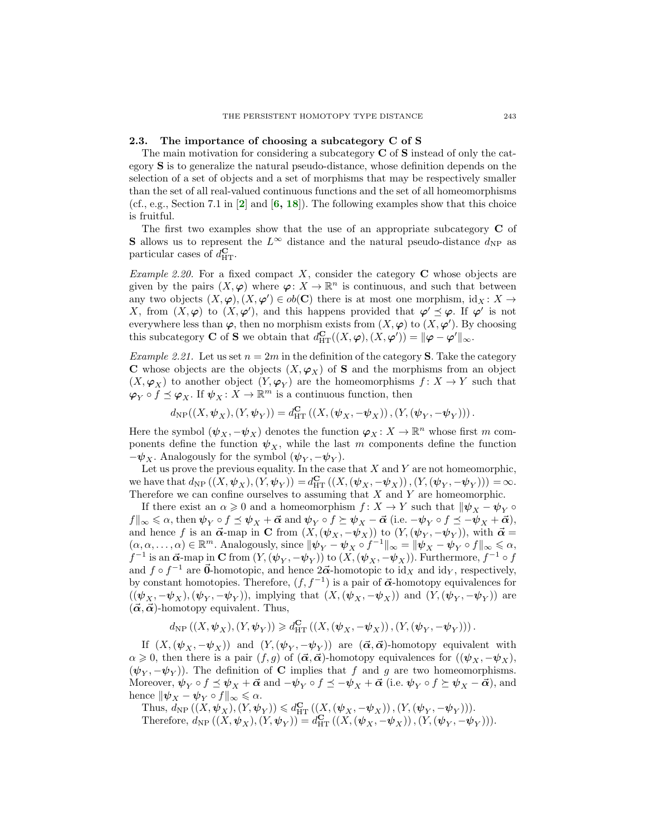### 2.3. The importance of choosing a subcategory C of S

The main motivation for considering a subcategory **C** of **S** instead of only the category S is to generalize the natural pseudo-distance, whose definition depends on the selection of a set of objects and a set of morphisms that may be respectively smaller than the set of all real-valued continuous functions and the set of all homeomorphisms (cf., e.g., Section 7.1 in  $\left[2\right]$  $\left[2\right]$  $\left[2\right]$  and  $\left[6, 18\right]$  $\left[6, 18\right]$  $\left[6, 18\right]$  $\left[6, 18\right]$  $\left[6, 18\right]$ ). The following examples show that this choice is fruitful.

The first two examples show that the use of an appropriate subcategory  $C$  of **S** allows us to represent the  $L^{\infty}$  distance and the natural pseudo-distance  $d_{\text{NP}}$  as particular cases of  $d_{\text{HT}}^{\mathbf{C}}$ .

*Example 2.20.* For a fixed compact X, consider the category  $C$  whose objects are given by the pairs  $(X, \varphi)$  where  $\varphi: X \to \mathbb{R}^n$  is continuous, and such that between any two objects  $(X, \varphi), (X, \varphi') \in ob(\mathbb{C})$  there is at most one morphism,  $id_X : X \to$ X, from  $(X, \varphi)$  to  $(X, \varphi')$ , and this happens provided that  $\varphi' \preceq \varphi$ . If  $\varphi'$  is not everywhere less than  $\varphi$ , then no morphism exists from  $(X, \varphi)$  to  $(X, \varphi')$ . By choosing this subcategory **C** of **S** we obtain that  $d_{\mathrm{HT}}^{\mathbf{C}}((X, \varphi), (X, \varphi')) = ||\varphi - \varphi'||_{\infty}$ .

<span id="page-12-0"></span>*Example 2.21.* Let us set  $n = 2m$  in the definition of the category **S**. Take the category **C** whose objects are the objects  $(X, \varphi_X)$  of **S** and the morphisms from an object  $(X, \varphi_X)$  to another object  $(Y, \varphi_Y)$  are the homeomorphisms  $f: X \to Y$  such that  $\varphi_Y \circ f \preceq \varphi_X$ . If  $\psi_X \colon X \to \mathbb{R}^m$  is a continuous function, then

$$
d_{\rm NP}((X,\boldsymbol{\psi}_X),(Y,\boldsymbol{\psi}_Y)) = d_{\rm HT}^{\bf C}\left( (X,(\boldsymbol{\psi}_X,-\boldsymbol{\psi}_X)),(Y,(\boldsymbol{\psi}_Y,-\boldsymbol{\psi}_Y)) \right).
$$

Here the symbol  $(\psi_X, -\psi_X)$  denotes the function  $\varphi_X \colon X \to \mathbb{R}^n$  whose first m components define the function  $\psi_X$ , while the last m components define the function  $-\psi_X$ . Analogously for the symbol  $(\psi_Y, -\psi_Y)$ .

Let us prove the previous equality. In the case that  $X$  and  $Y$  are not homeomorphic, we have that  $d_{\text{NP}}((X, \psi_X), (Y, \psi_Y)) = d_{\text{HT}}^{\text{C}}((X, (\psi_X, -\psi_X)), (Y, (\psi_Y, -\psi_Y))) = \infty$ . Therefore we can confine ourselves to assuming that  $X$  and  $Y$  are homeomorphic.

If there exist an  $\alpha \geq 0$  and a homeomorphism  $f: X \to Y$  such that  $\|\psi_X - \psi_Y \circ$  $f\|_{\infty}\leqslant\alpha$ , then  $\psi_Y\circ f\preceq\psi_X+\vec{\alpha}$  and  $\psi_Y\circ f\succeq\psi_X-\vec{\alpha}$  (i.e.  $-\psi_Y\circ f\preceq-\psi_X+\vec{\alpha}$ ), and hence f is an  $\vec{\alpha}$ -map in C from  $(X, (\psi_X, -\psi_X))$  to  $(Y, (\psi_Y, -\psi_Y))$ , with  $\vec{\alpha} =$  $(\alpha, \alpha, \dots, \alpha) \in \mathbb{R}^m$ . Analogously, since  $\|\psi_Y - \psi_X \circ f^{-1}\|_{\infty} = \|\psi_X - \psi_Y \circ f\|_{\infty} \leq \alpha$ ,  $f^{-1}$  is an  $\vec{\alpha}$ -map in  $\bf{C}$  from  $(Y, (\psi_Y, -\psi_Y))$  to  $(X, (\psi_X, -\psi_X))$ . Furthermore,  $f^{-1} \circ f$ and  $f \circ f^{-1}$  are  $\vec{0}$ -homotopic, and hence  $2\vec{\alpha}$ -homotopic to id<sub>X</sub> and id<sub>Y</sub>, respectively, by constant homotopies. Therefore,  $(f, f^{-1})$  is a pair of  $\vec{\alpha}$ -homotopy equivalences for  $((\psi_X, -\psi_X), (\psi_Y, -\psi_Y)),$  implying that  $(X, (\psi_X, -\psi_X))$  and  $(Y, (\psi_Y, -\psi_Y))$  are  $(\vec{\alpha}, \vec{\alpha})$ -homotopy equivalent. Thus,

$$
d_{\mathrm{NP}}\left((X,\psi_X),(Y,\psi_Y)\right) \geqslant d_{\mathrm{HT}}^{\mathbf{C}}\left(\left(X,\left(\psi_X,-\psi_X\right)\right),\left(Y,\left(\psi_Y,-\psi_Y\right)\right)\right).
$$

If  $(X,(\psi_X,-\psi_X))$  and  $(Y,(\psi_Y,-\psi_Y))$  are  $(\vec{\alpha},\vec{\alpha})$ -homotopy equivalent with  $\alpha \geq 0$ , then there is a pair  $(f, g)$  of  $(\vec{\alpha}, \vec{\alpha})$ -homotopy equivalences for  $((\psi_X, -\psi_X),$  $(\psi_Y, -\psi_Y)$ ). The definition of **C** implies that f and g are two homeomorphisms. Moreover,  $\psi_Y \circ f \preceq \psi_X + \vec{\alpha}$  and  $-\psi_Y \circ f \preceq -\psi_X + \vec{\alpha}$  (i.e.  $\psi_Y \circ f \succeq \psi_X - \vec{\alpha}$ ), and hence  $\|\psi_X - \psi_Y \circ f\|_{\infty} \leq \alpha$ .

Thus,  $d_{\text{NP}}((X, \psi_X), (Y, \psi_Y)) \leq d_{\text{HT}}^{\text{C}}((X, (\psi_X, -\psi_X)), (Y, (\psi_Y, -\psi_Y))).$ 

Therefore,  $d_{\text{NP}}((X, \psi_X), (Y, \psi_Y)) = d_{\text{HT}}^{\text{C}}((X, (\psi_X, -\psi_X)), (Y, (\psi_Y, -\psi_Y))).$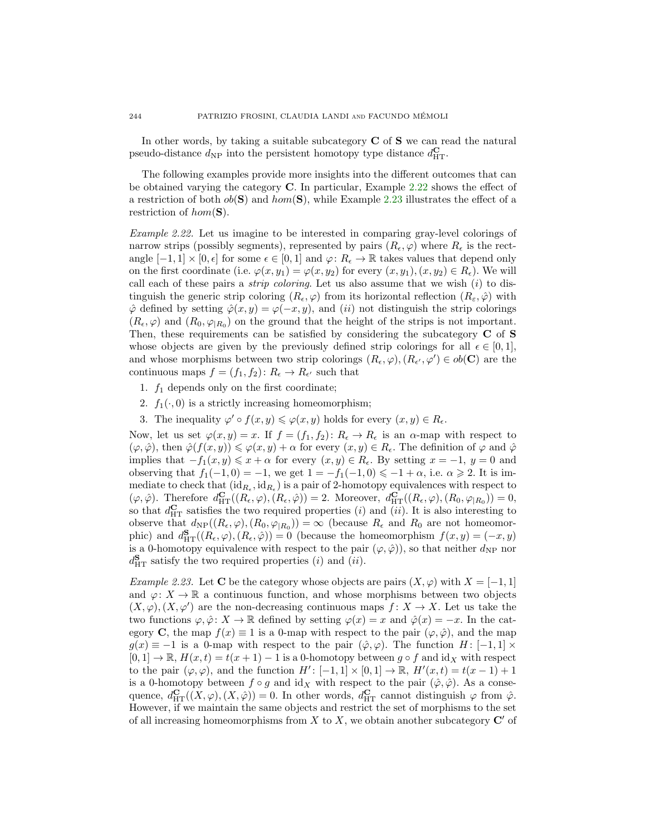In other words, by taking a suitable subcategory  $C$  of  $S$  we can read the natural pseudo-distance  $d_{\rm NP}$  into the persistent homotopy type distance  $d_{\rm HT}^{\bf C}$ .

The following examples provide more insights into the different outcomes that can be obtained varying the category C. In particular, Example [2.22](#page-13-0) shows the effect of a restriction of both  $ob(S)$  and  $hom(S)$ , while Example [2.23](#page-13-1) illustrates the effect of a restriction of  $hom(S)$ .

<span id="page-13-0"></span>Example 2.22. Let us imagine to be interested in comparing gray-level colorings of narrow strips (possibly segments), represented by pairs  $(R_{\epsilon}, \varphi)$  where  $R_{\epsilon}$  is the rectangle  $[-1, 1] \times [0, \epsilon]$  for some  $\epsilon \in [0, 1]$  and  $\varphi: R_{\epsilon} \to \mathbb{R}$  takes values that depend only on the first coordinate (i.e.  $\varphi(x, y_1) = \varphi(x, y_2)$  for every  $(x, y_1), (x, y_2) \in R_{\epsilon}$ ). We will call each of these pairs a *strip coloring*. Let us also assume that we wish  $(i)$  to distinguish the generic strip coloring  $(R_{\epsilon}, \varphi)$  from its horizontal reflection  $(R_{\epsilon}, \hat{\varphi})$  with  $\hat{\varphi}$  defined by setting  $\hat{\varphi}(x, y) = \varphi(-x, y)$ , and  $(ii)$  not distinguish the strip colorings  $(R_{\epsilon}, \varphi)$  and  $(R_0, \varphi_{R_0})$  on the ground that the height of the strips is not important. Then, these requirements can be satisfied by considering the subcategory C of S whose objects are given by the previously defined strip colorings for all  $\epsilon \in [0,1]$ , and whose morphisms between two strip colorings  $(R_{\epsilon}, \varphi), (R_{\epsilon'}, \varphi') \in ob(\mathbf{C})$  are the continuous maps  $f = (f_1, f_2) : R_{\epsilon} \to R_{\epsilon'}$  such that

- 1.  $f_1$  depends only on the first coordinate;
- 2.  $f_1(\cdot, 0)$  is a strictly increasing homeomorphism;
- 3. The inequality  $\varphi' \circ f(x, y) \leq \varphi(x, y)$  holds for every  $(x, y) \in R_{\epsilon}$ .

Now, let us set  $\varphi(x, y) = x$ . If  $f = (f_1, f_2): R_{\epsilon} \to R_{\epsilon}$  is an  $\alpha$ -map with respect to  $(\varphi, \hat{\varphi})$ , then  $\hat{\varphi}(f(x, y)) \leq \varphi(x, y) + \alpha$  for every  $(x, y) \in R_{\epsilon}$ . The definition of  $\varphi$  and  $\hat{\varphi}$ implies that  $-f_1(x, y) \leq x + \alpha$  for every  $(x, y) \in R_{\epsilon}$ . By setting  $x = -1$ ,  $y = 0$  and observing that  $f_1(-1,0) = -1$ , we get  $1 = -f_1(-1,0) \le -1 + \alpha$ , i.e.  $\alpha \ge 2$ . It is immediate to check that  $(\mathrm{id}_{R_{\epsilon}}, \mathrm{id}_{R_{\epsilon}})$  is a pair of 2-homotopy equivalences with respect to  $(\varphi, \hat{\varphi})$ . Therefore  $d_{\mathrm{HT}}^{\mathbf{C}}((R_{\epsilon}, \varphi), (R_{\epsilon}, \hat{\varphi})) = 2$ . Moreover,  $d_{\mathrm{HT}}^{\mathbf{C}}((R_{\epsilon}, \varphi), (R_0, \varphi_{|R_0})) = 0$ , so that  $d_{\text{HT}}^{\text{C}}$  satisfies the two required properties (*i*) and (*ii*). It is also interesting to observe that  $d_{\text{NP}}((R_{\epsilon}, \varphi), (R_0, \varphi_{|R_0})) = \infty$  (because  $R_{\epsilon}$  and  $R_0$  are not homeomorphic) and  $d_{\text{HT}}^{\mathbf{S}}((R_{\epsilon},\varphi),(R_{\epsilon},\hat{\varphi}))=0$  (because the homeomorphism  $f(x,y)=(-x,y)$ is a 0-homotopy equivalence with respect to the pair  $(\varphi, \hat{\varphi})$ , so that neither  $d_{\text{NP}}$  nor  $d_{\text{HT}}^{\mathbf{S}}$  satisfy the two required properties (*i*) and (*ii*).

<span id="page-13-1"></span>Example 2.23. Let C be the category whose objects are pairs  $(X, \varphi)$  with  $X = [-1, 1]$ and  $\varphi: X \to \mathbb{R}$  a continuous function, and whose morphisms between two objects  $(X, \varphi), (X, \varphi')$  are the non-decreasing continuous maps  $f: X \to X$ . Let us take the two functions  $\varphi, \hat{\varphi} : X \to \mathbb{R}$  defined by setting  $\varphi(x) = x$  and  $\hat{\varphi}(x) = -x$ . In the category **C**, the map  $f(x) \equiv 1$  is a 0-map with respect to the pair  $(\varphi, \hat{\varphi})$ , and the map  $g(x) \equiv -1$  is a 0-map with respect to the pair  $(\hat{\varphi}, \varphi)$ . The function  $H: [-1, 1] \times$  $[0,1] \to \mathbb{R}$ ,  $H(x,t) = t(x+1) - 1$  is a 0-homotopy between  $g \circ f$  and  $id_X$  with respect to the pair  $(\varphi, \varphi)$ , and the function  $H' : [-1, 1] \times [0, 1] \to \mathbb{R}$ ,  $H'(x, t) = t(x - 1) + 1$ is a 0-homotopy between  $f \circ g$  and  $\mathrm{id}_X$  with respect to the pair  $(\hat{\varphi}, \hat{\varphi})$ . As a consequence,  $d_{\mathrm{HT}}^{\mathbf{C}}((X,\varphi),(X,\hat{\varphi}))=0$ . In other words,  $d_{\mathrm{HT}}^{\mathbf{C}}$  cannot distinguish  $\varphi$  from  $\hat{\varphi}$ . However, if we maintain the same objects and restrict the set of morphisms to the set of all increasing homeomorphisms from  $X$  to  $X$ , we obtain another subcategory  $\mathbb{C}'$  of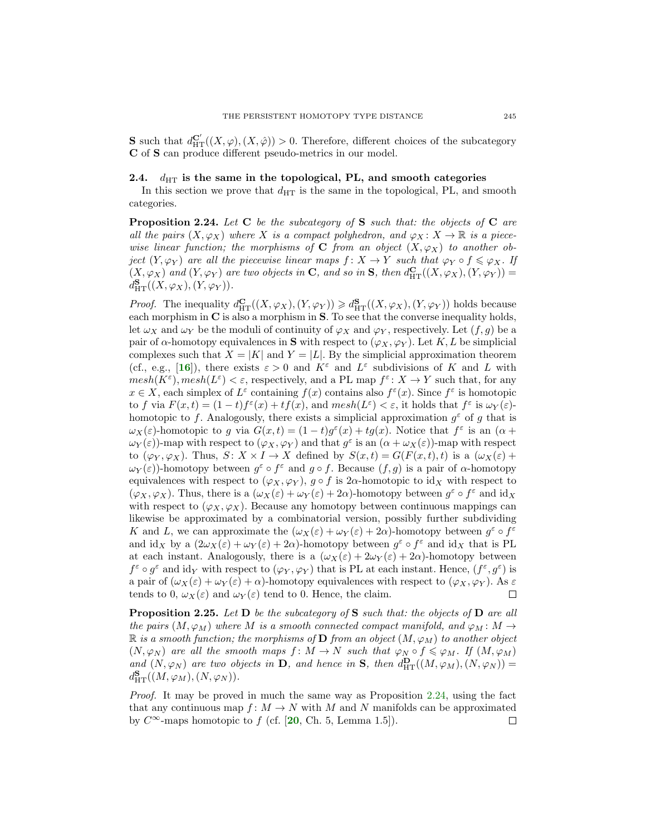**S** such that  $d_{\mathrm{HT}}^{\mathbf{C}'}((X,\varphi),(X,\hat{\varphi})) > 0$ . Therefore, different choices of the subcategory C of S can produce different pseudo-metrics in our model.

### 2.4.  $d_{\text{HT}}$  is the same in the topological, PL, and smooth categories

In this section we prove that  $d_{\text{HT}}$  is the same in the topological, PL, and smooth categories.

<span id="page-14-0"></span>**Proposition 2.24.** Let  $C$  be the subcategory of  $S$  such that: the objects of  $C$  are all the pairs  $(X, \varphi_X)$  where X is a compact polyhedron, and  $\varphi_X \colon X \to \mathbb{R}$  is a piecewise linear function; the morphisms of C from an object  $(X, \varphi_X)$  to another object  $(Y, \varphi_Y)$  are all the piecewise linear maps  $f: X \to Y$  such that  $\varphi_Y \circ f \leq \varphi_X$ . If  $(X, \varphi_X)$  and  $(Y, \varphi_Y)$  are two objects in C, and so in S, then  $d_{\mathrm{HT}}^{\mathbf{C}}((X, \varphi_X), (Y, \varphi_Y)) =$  $d_{\mathrm{HT}}^{\mathbf{S}}((X,\varphi_X),(Y,\varphi_Y)).$ 

*Proof.* The inequality  $d_{\mathrm{HT}}^{\mathbf{C}}((X,\varphi_X),(Y,\varphi_Y)) \geq d_{\mathrm{HT}}^{\mathbf{S}}((X,\varphi_X),(Y,\varphi_Y))$  holds because each morphism in  $C$  is also a morphism in  $S$ . To see that the converse inequality holds, let  $\omega_X$  and  $\omega_Y$  be the moduli of continuity of  $\varphi_X$  and  $\varphi_Y$ , respectively. Let  $(f, g)$  be a pair of  $\alpha$ -homotopy equivalences in S with respect to  $(\varphi_X, \varphi_Y)$ . Let K, L be simplicial complexes such that  $X = |K|$  and  $Y = |L|$ . By the simplicial approximation theorem (cf., e.g., [[16](#page-28-9)]), there exists  $\varepsilon > 0$  and  $K^{\varepsilon}$  and  $L^{\varepsilon}$  subdivisions of K and L with  $mesh(K^{\varepsilon}), mesh(L^{\varepsilon}) < \varepsilon$ , respectively, and a PL map  $f^{\varepsilon}: X \to Y$  such that, for any  $x \in X$ , each simplex of  $L^{\varepsilon}$  containing  $f(x)$  contains also  $f^{\varepsilon}(x)$ . Since  $f^{\varepsilon}$  is homotopic to f via  $F(x,t) = (1-t)f^{\varepsilon}(x) + tf(x)$ , and  $mesh(L^{\varepsilon}) < \varepsilon$ , it holds that  $f^{\varepsilon}$  is  $\omega_Y(\varepsilon)$ homotopic to f. Analogously, there exists a simplicial approximation  $g^{\varepsilon}$  of g that is  $\omega_X(\varepsilon)$ -homotopic to g via  $G(x,t) = (1-t)g^{\varepsilon}(x) + tg(x)$ . Notice that  $f^{\varepsilon}$  is an  $(\alpha +$  $\omega_Y(\varepsilon)$ )-map with respect to  $(\varphi_X, \varphi_Y)$  and that  $g^{\varepsilon}$  is an  $(\alpha + \omega_X(\varepsilon))$ -map with respect to  $(\varphi_Y, \varphi_X)$ . Thus,  $S: X \times I \to X$  defined by  $S(x,t) = G(F(x,t),t)$  is a  $(\omega_X(\varepsilon) +$  $\omega_Y(\varepsilon)$ -homotopy between  $g^{\varepsilon} \circ f^{\varepsilon}$  and  $g \circ f$ . Because  $(f, g)$  is a pair of  $\alpha$ -homotopy equivalences with respect to  $(\varphi_X, \varphi_Y)$ ,  $g \circ f$  is 2 $\alpha$ -homotopic to id<sub>X</sub> with respect to  $(\varphi_X, \varphi_X)$ . Thus, there is a  $(\omega_X(\varepsilon) + \omega_Y(\varepsilon) + 2\alpha)$ -homotopy between  $g^{\varepsilon} \circ f^{\varepsilon}$  and id<sub>X</sub> with respect to  $(\varphi_X, \varphi_X)$ . Because any homotopy between continuous mappings can likewise be approximated by a combinatorial version, possibly further subdividing K and L, we can approximate the  $(\omega_X(\varepsilon) + \omega_Y(\varepsilon) + 2\alpha)$ -homotopy between  $g^{\varepsilon} \circ f^{\varepsilon}$ and  $\mathrm{id}_X$  by a  $(2\omega_X(\varepsilon) + \omega_Y(\varepsilon) + 2\alpha)$ -homotopy between  $g^{\varepsilon} \circ f^{\varepsilon}$  and  $\mathrm{id}_X$  that is PL at each instant. Analogously, there is a  $(\omega_X(\varepsilon) + 2\omega_Y(\varepsilon) + 2\alpha)$ -homotopy between  $f^{\varepsilon} \circ g^{\varepsilon}$  and  $\mathrm{id}_{Y}$  with respect to  $(\varphi_{Y}, \varphi_{Y})$  that is PL at each instant. Hence,  $(f^{\varepsilon}, g^{\varepsilon})$  is a pair of  $(\omega_X(\varepsilon) + \omega_Y(\varepsilon) + \alpha)$ -homotopy equivalences with respect to  $(\varphi_X, \varphi_Y)$ . As  $\varepsilon$ tends to 0,  $\omega_X(\varepsilon)$  and  $\omega_Y(\varepsilon)$  tend to 0. Hence, the claim. □

**Proposition 2.25.** Let  $D$  be the subcategory of  $S$  such that: the objects of  $D$  are all the pairs  $(M, \varphi_M)$  where M is a smooth connected compact manifold, and  $\varphi_M \colon M \to$  $\mathbb R$  is a smooth function; the morphisms of **D** from an object  $(M, \varphi_M)$  to another object  $(N, \varphi_N)$  are all the smooth maps  $f : M \to N$  such that  $\varphi_N \circ f \leq \varphi_M$ . If  $(M, \varphi_M)$ and  $(N, \varphi_N)$  are two objects in **D**, and hence in **S**, then  $d_{\text{HT}}^{\mathbf{D}}((M, \varphi_M), (N, \varphi_N)) =$  $d_{\mathrm{HT}}^{\mathbf{S}}((M,\varphi_M),(N,\varphi_N)).$ 

Proof. It may be proved in much the same way as Proposition [2.24,](#page-14-0) using the fact that any continuous map  $f: M \to N$  with M and N manifolds can be approximated by  $C^{\infty}$ -maps homotopic to f (cf. [[20](#page-28-10), Ch. 5, Lemma 1.5]). □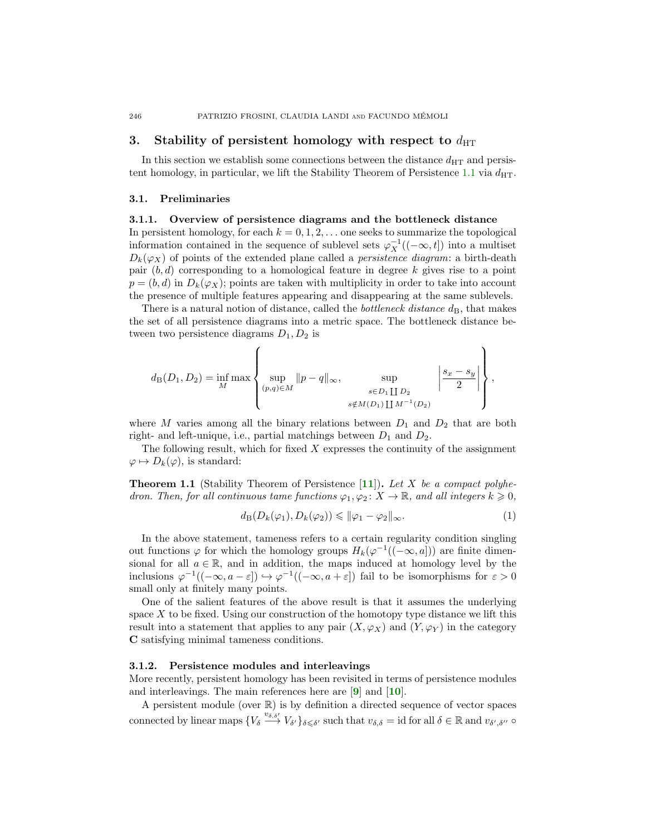# <span id="page-15-0"></span>3. Stability of persistent homology with respect to  $d_{\text{HT}}$

In this section we establish some connections between the distance  $d_{\text{HT}}$  and persis-tent homology, in particular, we lift the Stability Theorem of Persistence [1.1](#page-1-1) via  $d_{\text{HT}}$ .

#### <span id="page-15-1"></span>3.1. Preliminaries

# 3.1.1. Overview of persistence diagrams and the bottleneck distance In persistent homology, for each  $k = 0, 1, 2, \ldots$  one seeks to summarize the topological information contained in the sequence of sublevel sets  $\varphi_X^{-1}((-\infty, t])$  into a multiset  $D_k(\varphi_X)$  of points of the extended plane called a *persistence diagram*: a birth-death pair  $(b, d)$  corresponding to a homological feature in degree k gives rise to a point  $p = (b, d)$  in  $D_k(\varphi_X)$ ; points are taken with multiplicity in order to take into account

There is a natural notion of distance, called the *bottleneck distance*  $d_{\text{B}}$ , that makes the set of all persistence diagrams into a metric space. The bottleneck distance between two persistence diagrams  $D_1, D_2$  is

the presence of multiple features appearing and disappearing at the same sublevels.

$$
d_{\mathcal{B}}(D_1, D_2) = \inf_{M} \max \left\{ \sup_{(p,q) \in M} ||p - q||_{\infty}, \sup_{\substack{s \in D_1 \coprod D_2 \\ s \notin M(D_1) \coprod M^{-1}(D_2)}} \left| \frac{s_x - s_y}{2} \right| \right\},\,
$$

where M varies among all the binary relations between  $D_1$  and  $D_2$  that are both right- and left-unique, i.e., partial matchings between  $D_1$  and  $D_2$ .

The following result, which for fixed  $X$  expresses the continuity of the assignment  $\varphi \mapsto D_k(\varphi)$ , is standard:

**Theorem 1.1** (Stability Theorem of Persistence [[11](#page-27-1)]). Let X be a compact polyhedron. Then, for all continuous tame functions  $\varphi_1, \varphi_2 \colon X \to \mathbb{R}$ , and all integers  $k \geqslant 0$ ,

$$
d_{\mathcal{B}}(D_k(\varphi_1), D_k(\varphi_2)) \leq \|\varphi_1 - \varphi_2\|_{\infty}.
$$
\n(1)

In the above statement, tameness refers to a certain regularity condition singling out functions  $\varphi$  for which the homology groups  $H_k(\varphi^{-1}((-\infty, a]))$  are finite dimensional for all  $a \in \mathbb{R}$ , and in addition, the maps induced at homology level by the inclusions  $\varphi^{-1}((-\infty, a-\varepsilon]) \hookrightarrow \varphi^{-1}((-\infty, a+\varepsilon])$  fail to be isomorphisms for  $\varepsilon > 0$ small only at finitely many points.

One of the salient features of the above result is that it assumes the underlying space  $X$  to be fixed. Using our construction of the homotopy type distance we lift this result into a statement that applies to any pair  $(X, \varphi_X)$  and  $(Y, \varphi_Y)$  in the category C satisfying minimal tameness conditions.

### 3.1.2. Persistence modules and interleavings

More recently, persistent homology has been revisited in terms of persistence modules and interleavings. The main references here are  $[9]$  $[9]$  $[9]$  and  $[10]$  $[10]$  $[10]$ .

A persistent module (over R) is by definition a directed sequence of vector spaces connected by linear maps  $\{V_{\delta} \stackrel{v_{\delta,\delta'}}{\rightarrow} V_{\delta'}\}_{\delta \leqslant \delta'}$  such that  $v_{\delta,\delta} = \text{id}$  for all  $\delta \in \mathbb{R}$  and  $v_{\delta',\delta''}$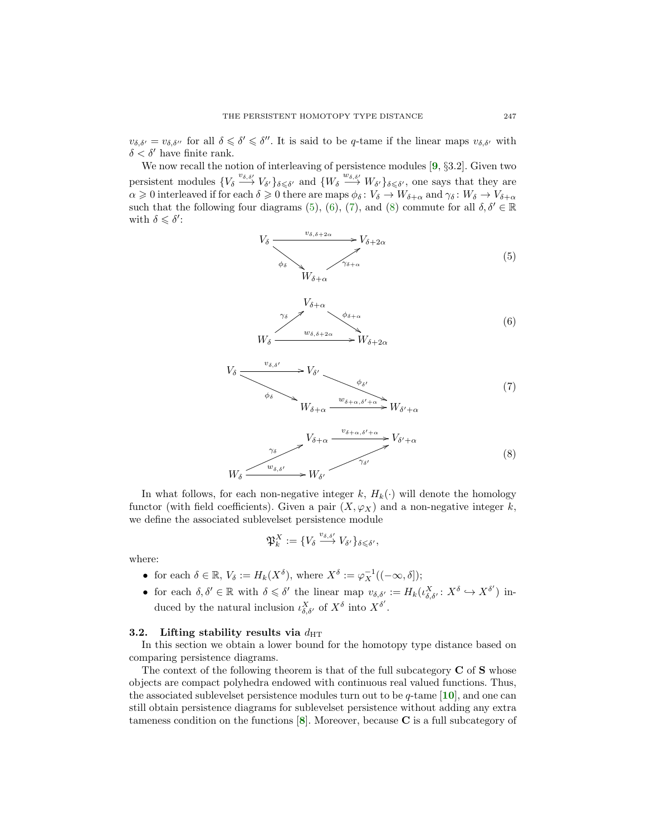$v_{\delta,\delta'} = v_{\delta,\delta''}$  for all  $\delta \leq \delta' \leq \delta''$ . It is said to be q-tame if the linear maps  $v_{\delta,\delta'}$  with  $\delta < \delta'$  have finite rank.

We now recall the notion of interleaving of persistence modules [[9](#page-27-3), §3.2]. Given two persistent modules  $\{V_{\delta} \stackrel{v_{\delta,\delta'}}{\longrightarrow} V_{\delta'}\}_{\delta \leq \delta'}$  and  $\{W_{\delta} \stackrel{w_{\delta,\delta'}}{\longrightarrow} W_{\delta'}\}_{\delta \leq \delta'}$ , one says that they are  $\alpha \geq 0$  interleaved if for each  $\delta \geq 0$  there are maps  $\phi_{\delta} \colon V_{\delta} \to W_{\delta+\alpha}$  and  $\gamma_{\delta} \colon W_{\delta} \to V_{\delta+\alpha}$ such that the following four diagrams [\(5\)](#page-16-0), [\(6\)](#page-16-1), [\(7\)](#page-16-2), and [\(8\)](#page-16-3) commute for all  $\delta, \delta' \in \mathbb{R}$ with  $\delta \leqslant \delta'$ :

> <span id="page-16-0"></span> $V_{\delta}$  $\phi_{\delta}$   $\searrow$  $\frac{v_{\delta,\delta+2\alpha}}{v_{\delta+2\alpha}}$   $\rightarrow$   $V_{\delta+2\alpha}$  $W_{\delta+\alpha}$  $\tilde{\gamma}_{\delta+\alpha}$ 9 (5)

<span id="page-16-1"></span>

<span id="page-16-2"></span>

<span id="page-16-3"></span>
$$
V_{\delta+\alpha} \xrightarrow{v_{\delta+\alpha,\delta'+\alpha}} V_{\delta'+\alpha}
$$
\n
$$
W_{\delta} \xrightarrow{\gamma_{\delta'}} W_{\delta'}
$$
\n
$$
(8)
$$
\n
$$
W_{\delta}
$$

In what follows, for each non-negative integer k,  $H_k(\cdot)$  will denote the homology functor (with field coefficients). Given a pair  $(X, \varphi_X)$  and a non-negative integer k, we define the associated sublevelset persistence module

$$
\mathfrak{P}_k^X := \{ V_{\delta} \stackrel{v_{\delta,\delta'}}{\longrightarrow} V_{\delta'} \}_{\delta \leqslant \delta'},
$$

where:

- for each  $\delta \in \mathbb{R}, V_{\delta} := H_k(X^{\delta}),$  where  $X^{\delta} := \varphi_X^{-1}((-\infty, \delta]);$
- for each  $\delta, \delta' \in \mathbb{R}$  with  $\delta \leq \delta'$  the linear map  $v_{\delta, \delta'} := H_k(\iota_{\delta, \delta'}^X : X^{\delta} \hookrightarrow X^{\delta'})$  induced by the natural inclusion  $\iota_{\delta,\delta'}^X$  of  $X^\delta$  into  $X^{\delta'}$ .

#### 3.2. Lifting stability results via  $d_{\text{HT}}$

In this section we obtain a lower bound for the homotopy type distance based on comparing persistence diagrams.

The context of the following theorem is that of the full subcategory  $C$  of  $S$  whose objects are compact polyhedra endowed with continuous real valued functions. Thus, the associated sublevelset persistence modules turn out to be  $q$ -tame [[10](#page-27-5)], and one can still obtain persistence diagrams for sublevelset persistence without adding any extra tameness condition on the functions  $\vert 8 \vert$  $\vert 8 \vert$  $\vert 8 \vert$ . Moreover, because C is a full subcategory of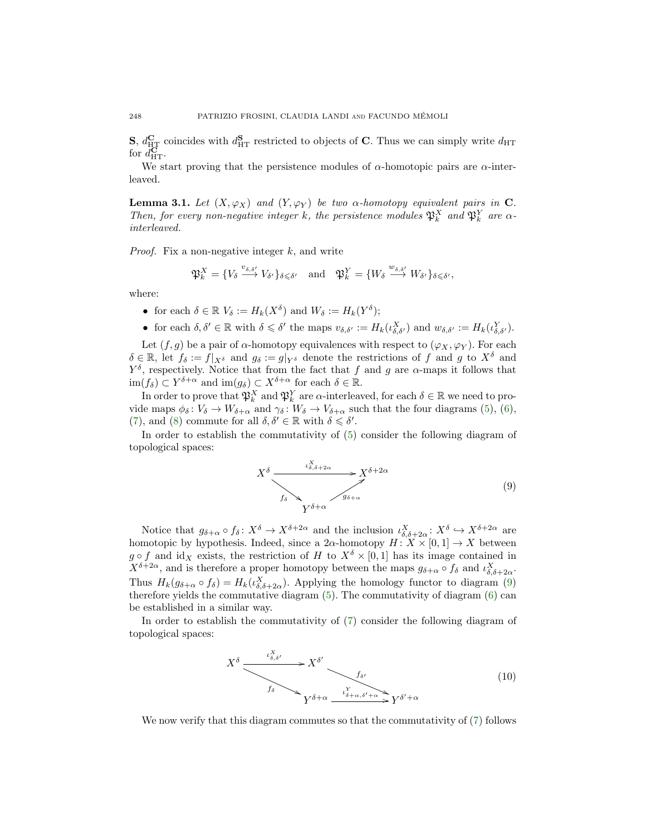**S**,  $d_{\text{HT}}^{\text{C}}$  coincides with  $d_{\text{HT}}^{\text{S}}$  restricted to objects of **C**. Thus we can simply write  $d_{\text{HT}}$ for  $d_{\text{HT}}^{\mathbf{C}}$ .

We start proving that the persistence modules of  $\alpha$ -homotopic pairs are  $\alpha$ -interleaved.

<span id="page-17-2"></span>**Lemma 3.1.** Let  $(X, \varphi_X)$  and  $(Y, \varphi_Y)$  be two  $\alpha$ -homotopy equivalent pairs in C. Then, for every non-negative integer k, the persistence modules  $\mathfrak{P}_k^X$  and  $\mathfrak{P}_k^Y$  are  $\alpha$ interleaved.

*Proof.* Fix a non-negative integer  $k$ , and write

$$
\mathfrak{P}_k^X = \{ V_{\delta} \stackrel{v_{\delta,\delta'}}{\longrightarrow} V_{\delta'} \}_{\delta \leq \delta'} \quad \text{and} \quad \mathfrak{P}_k^Y = \{ W_{\delta} \stackrel{w_{\delta,\delta'}}{\longrightarrow} W_{\delta'} \}_{\delta \leq \delta'},
$$

where:

- for each  $\delta \in \mathbb{R}$   $V_{\delta} := H_k(X^{\delta})$  and  $W_{\delta} := H_k(Y^{\delta});$
- for each  $\delta, \delta' \in \mathbb{R}$  with  $\delta \leq \delta'$  the maps  $v_{\delta, \delta'} := H_k(\iota_{\delta, \delta'}^X)$  and  $w_{\delta, \delta'} := H_k(\iota_{\delta, \delta'}^Y)$ .

Let  $(f, g)$  be a pair of  $\alpha$ -homotopy equivalences with respect to  $(\varphi_X, \varphi_Y)$ . For each  $\delta \in \mathbb{R}$ , let  $f_{\delta} := f|_{X^{\delta}}$  and  $g_{\delta} := g|_{Y^{\delta}}$  denote the restrictions of f and g to  $X^{\delta}$  and  $Y^{\delta}$ , respectively. Notice that from the fact that f and g are  $\alpha$ -maps it follows that  $\text{im}(f_\delta) \subset Y^{\delta+\alpha}$  and  $\text{im}(g_\delta) \subset X^{\delta+\alpha}$  for each  $\delta \in \mathbb{R}$ .

In order to prove that  $\mathfrak{P}_k^X$  and  $\mathfrak{P}_k^Y$  are  $\alpha$ -interleaved, for each  $\delta \in \mathbb{R}$  we need to provide maps  $\phi_{\delta} : V_{\delta} \to W_{\delta+\alpha}$  and  $\gamma_{\delta} : W_{\delta} \to V_{\delta+\alpha}$  such that the four diagrams [\(5\)](#page-16-0), [\(6\)](#page-16-1), [\(7\)](#page-16-2), and [\(8\)](#page-16-3) commute for all  $\delta, \delta' \in \mathbb{R}$  with  $\delta \leq \delta'$ .

In order to establish the commutativity of [\(5\)](#page-16-0) consider the following diagram of topological spaces:

<span id="page-17-0"></span>
$$
X^{\delta} \xrightarrow{\iota_{\delta,\delta+2\alpha}^{X}} X^{\delta+2\alpha}
$$
\n
$$
f_{\delta} \xrightarrow{\gamma_{\delta+\alpha}^{X}} Y^{\delta+\alpha}
$$
\n(9)

Notice that  $g_{\delta+\alpha} \circ f_{\delta} \colon X^{\delta} \to X^{\delta+2\alpha}$  and the inclusion  $\iota_{\delta,\delta+2\alpha}^X \colon X^{\delta} \to X^{\delta+2\alpha}$  are homotopic by hypothesis. Indeed, since a  $2\alpha$ -homotopy  $H: X \times [0,1] \rightarrow X$  between  $g \circ f$  and id<sub>X</sub> exists, the restriction of H to  $X^{\delta} \times [0,1]$  has its image contained in  $X^{\delta+2\alpha}$ , and is therefore a proper homotopy between the maps  $g_{\delta+\alpha} \circ f_{\delta}$  and  $\iota_{\delta,\delta+2\alpha}^X$ . Thus  $H_k(g_{\delta+\alpha} \circ f_{\delta}) = H_k(\iota_{\delta,\delta+2\alpha}^X)$ . Applying the homology functor to diagram [\(9\)](#page-17-0) therefore yields the commutative diagram [\(5\)](#page-16-0). The commutativity of diagram [\(6\)](#page-16-1) can be established in a similar way.

In order to establish the commutativity of [\(7\)](#page-16-2) consider the following diagram of topological spaces:

<span id="page-17-1"></span>
$$
X^{\delta} \xrightarrow{\iota_{\delta,\delta'}^X} X^{\delta'} \xrightarrow{f_{\delta'}} f_{\delta'}
$$
\n
$$
Y^{\delta+\alpha} \xrightarrow{\iota_{\delta+\alpha,\delta'+\alpha}^Y} Y^{\delta'+\alpha}
$$
\n(10)

We now verify that this diagram commutes so that the commutativity of [\(7\)](#page-16-2) follows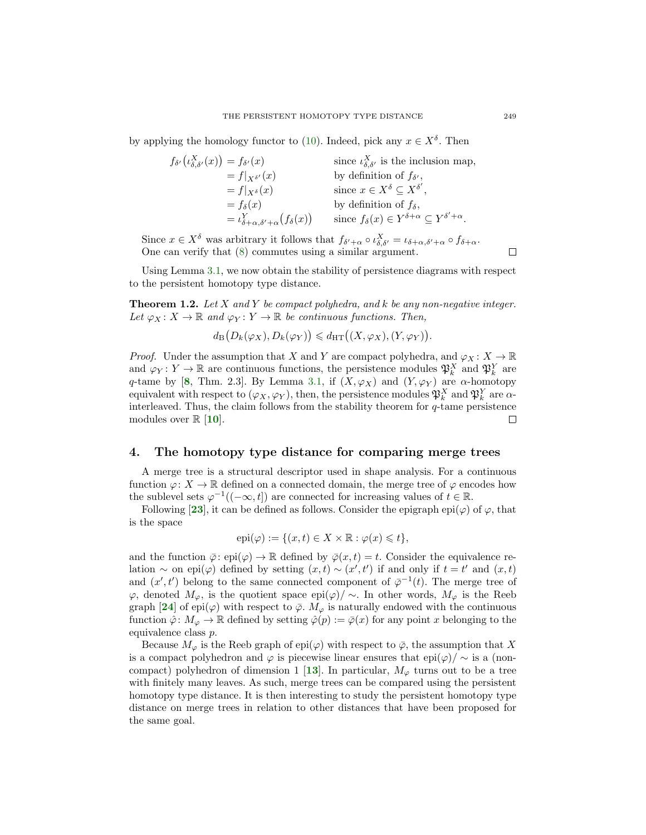by applying the homology functor to [\(10\)](#page-17-1). Indeed, pick any  $x \in X^{\delta}$ . Then

$$
f_{\delta'}(\iota_{\delta,\delta'}^{X}(x)) = f_{\delta'}(x)
$$
  
\n
$$
= f|_{X^{\delta'}}(x)
$$
  
\n
$$
= f|_{X^{\delta}}(x)
$$
  
\n
$$
= f|_{X^{\delta}}(x)
$$
  
\n
$$
= f_{\delta}(x)
$$
  
\n
$$
= f_{\delta}(x)
$$
  
\nby definition of  $f_{\delta'}$ ,  
\nby definition of  $f_{\delta}$ ,  
\nby definition of  $f_{\delta}$ ,  
\n
$$
= \iota_{\delta+\alpha,\delta'+\alpha}^{X} (f_{\delta}(x))
$$
  
\nsince  $x \in X^{\delta} \subseteq X^{\delta'}$ ,  
\nby definition of  $f_{\delta}$ ,  
\nsince  $f_{\delta}(x) \in Y^{\delta+\alpha} \subseteq Y^{\delta'+\alpha}$ .

Since  $x \in X^{\delta}$  was arbitrary it follows that  $f_{\delta' + \alpha} \circ \iota^X_{\delta, \delta'} = \iota_{\delta + \alpha, \delta' + \alpha} \circ f_{\delta + \alpha}$ . One can verify that [\(8\)](#page-16-3) commutes using a similar argument.

Using Lemma [3.1,](#page-17-2) we now obtain the stability of persistence diagrams with respect to the persistent homotopy type distance.

**Theorem 1.2.** Let X and Y be compact polyhedra, and k be any non-negative integer. Let  $\varphi_X : X \to \mathbb{R}$  and  $\varphi_Y : Y \to \mathbb{R}$  be continuous functions. Then,

$$
d_{\mathcal{B}}\big(D_k(\varphi_X), D_k(\varphi_Y)\big) \leq d_{\text{HT}}\big((X, \varphi_X), (Y, \varphi_Y)\big).
$$

*Proof.* Under the assumption that X and Y are compact polyhedra, and  $\varphi_X : X \to \mathbb{R}$ and  $\varphi_Y: Y \to \mathbb{R}$  are continuous functions, the persistence modules  $\mathfrak{P}_k^X$  and  $\mathfrak{P}_k^Y$  are q-tame by [[8](#page-27-8), Thm. 2.3]. By Lemma [3.1,](#page-17-2) if  $(X, \varphi_X)$  and  $(Y, \varphi_Y)$  are  $\alpha$ -homotopy equivalent with respect to  $(\varphi_X, \varphi_Y)$ , then, the persistence modules  $\mathfrak{P}_k^X$  and  $\mathfrak{P}_k^Y$  are  $\alpha$ interleaved. Thus, the claim follows from the stability theorem for  $q$ -tame persistence modules over  $\mathbb{R}$  [[10](#page-27-5)].  $\Box$ 

### <span id="page-18-0"></span>4. The homotopy type distance for comparing merge trees

A merge tree is a structural descriptor used in shape analysis. For a continuous function  $\varphi: X \to \mathbb{R}$  defined on a connected domain, the merge tree of  $\varphi$  encodes how the sublevel sets  $\varphi^{-1}((-\infty, t])$  are connected for increasing values of  $t \in \mathbb{R}$ .

Following [[23](#page-28-7)], it can be defined as follows. Consider the epigraph epi( $\varphi$ ) of  $\varphi$ , that is the space

$$
epi(\varphi) := \{ (x, t) \in X \times \mathbb{R} : \varphi(x) \leq t \},
$$

and the function  $\bar{\varphi}$ : epi $(\varphi) \to \mathbb{R}$  defined by  $\bar{\varphi}(x, t) = t$ . Consider the equivalence relation ~ on epi $(\varphi)$  defined by setting  $(x,t) \sim (x',t')$  if and only if  $t = t'$  and  $(x,t)$ and  $(x', t')$  belong to the same connected component of  $\bar{\varphi}^{-1}(t)$ . The merge tree of  $\varphi$ , denoted  $M_{\varphi}$ , is the quotient space epi $(\varphi)/\sim$ . In other words,  $M_{\varphi}$  is the Reeb graph [[24](#page-28-11)] of epi( $\varphi$ ) with respect to  $\bar{\varphi}$ .  $M_{\varphi}$  is naturally endowed with the continuous function  $\hat{\varphi} \colon M_{\varphi} \to \mathbb{R}$  defined by setting  $\hat{\varphi}(p) := \bar{\varphi}(x)$  for any point x belonging to the equivalence class p.

Because  $M_{\varphi}$  is the Reeb graph of epi $(\varphi)$  with respect to  $\bar{\varphi}$ , the assumption that X is a compact polyhedron and  $\varphi$  is piecewise linear ensures that epi $(\varphi)/\sim$  is a (non-compact) polyhedron of dimension 1 [[13](#page-28-12)]. In particular,  $M_{\varphi}$  turns out to be a tree with finitely many leaves. As such, merge trees can be compared using the persistent homotopy type distance. It is then interesting to study the persistent homotopy type distance on merge trees in relation to other distances that have been proposed for the same goal.

 $\Box$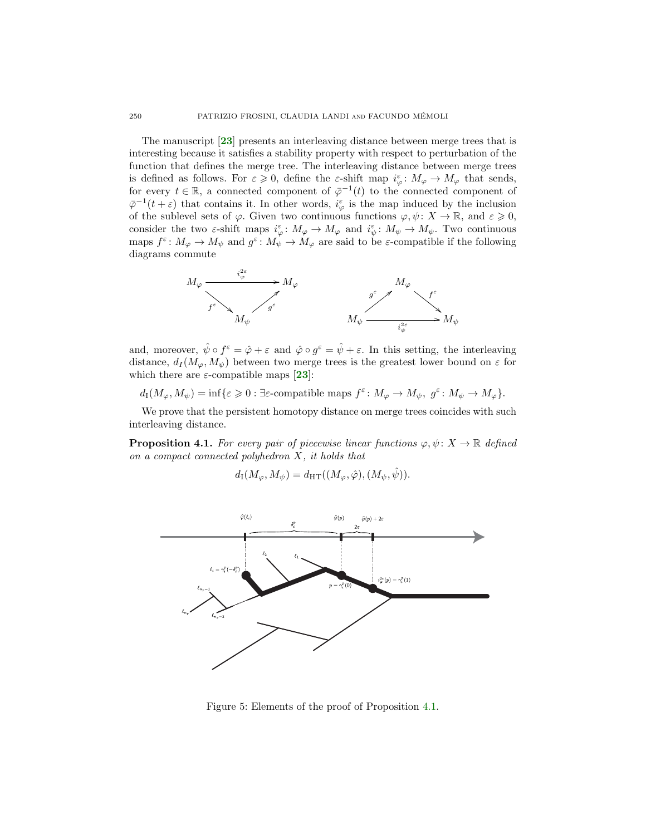The manuscript [[23](#page-28-7)] presents an interleaving distance between merge trees that is interesting because it satisfies a stability property with respect to perturbation of the function that defines the merge tree. The interleaving distance between merge trees is defined as follows. For  $\varepsilon \geqslant 0$ , define the  $\varepsilon$ -shift map  $i_{\varphi}^{\varepsilon} : M_{\varphi} \to M_{\varphi}$  that sends, for every  $t \in \mathbb{R}$ , a connected component of  $\bar{\varphi}^{-1}(t)$  to the connected component of  $\bar{\varphi}^{-1}(t+\varepsilon)$  that contains it. In other words,  $i_{\varphi}^{\varepsilon}$  is the map induced by the inclusion of the sublevel sets of  $\varphi$ . Given two continuous functions  $\varphi, \psi \colon X \to \mathbb{R}$ , and  $\varepsilon \geqslant 0$ , consider the two  $\varepsilon$ -shift maps  $i_{\varphi}^{\varepsilon} : M_{\varphi} \to M_{\varphi}$  and  $i_{\psi}^{\varepsilon} : M_{\psi} \to M_{\psi}$ . Two continuous maps  $f^{\varepsilon} \colon M_{\varphi} \to M_{\psi}$  and  $g^{\varepsilon} \colon M_{\psi} \to M_{\varphi}$  are said to be  $\varepsilon$ -compatible if the following diagrams commute



and, moreover,  $\hat{\psi} \circ f^{\epsilon} = \hat{\varphi} + \varepsilon$  and  $\hat{\varphi} \circ g^{\epsilon} = \hat{\psi} + \varepsilon$ . In this setting, the interleaving distance,  $d_I(M_\omega, M_\psi)$  between two merge trees is the greatest lower bound on  $\varepsilon$  for which there are  $\varepsilon$ -compatible maps [[23](#page-28-7)]:

 $d_I(M_\varphi, M_\psi) = \inf \{ \varepsilon \geq 0 : \exists \varepsilon\text{-compatible maps } f^\varepsilon \colon M_\varphi \to M_\psi, g^\varepsilon \colon M_\psi \to M_\varphi \}.$ 

We prove that the persistent homotopy distance on merge trees coincides with such interleaving distance.

<span id="page-19-0"></span>**Proposition 4.1.** For every pair of piecewise linear functions  $\varphi, \psi \colon X \to \mathbb{R}$  defined on a compact connected polyhedron  $X$ , it holds that

$$
d_{\mathrm{I}}(M_{\varphi}, M_{\psi}) = d_{\mathrm{HT}}((M_{\varphi}, \hat{\varphi}), (M_{\psi}, \hat{\psi})).
$$



<span id="page-19-1"></span>Figure 5: Elements of the proof of Proposition [4.1.](#page-19-0)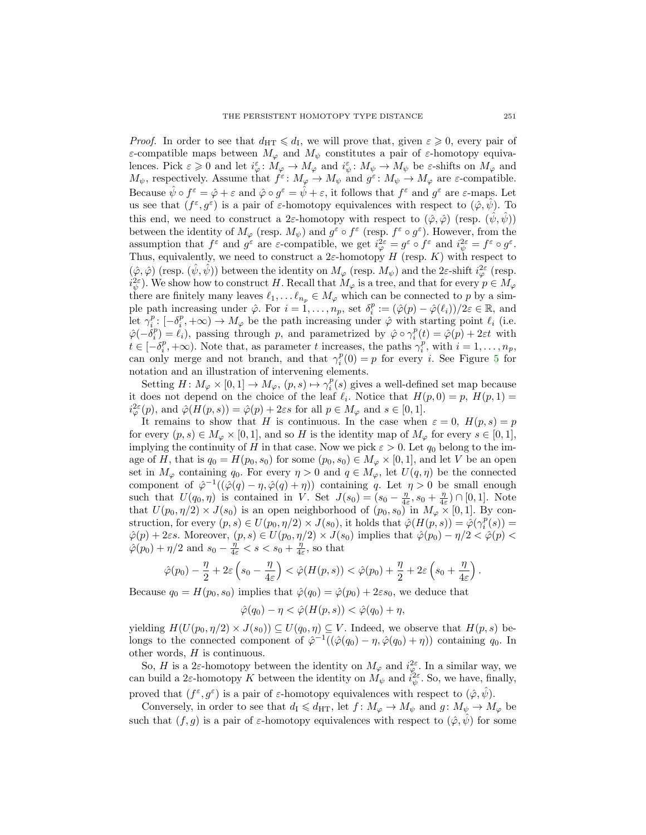*Proof.* In order to see that  $d_{\text{HT}} \leq d_{\text{I}}$ , we will prove that, given  $\varepsilon \geq 0$ , every pair of ε-compatible maps between  $M_{\varphi}$  and  $M_{\psi}$  constitutes a pair of ε-homotopy equivalences. Pick  $\varepsilon \geq 0$  and let  $i_{\varphi}^{\varepsilon} : M_{\varphi} \to M_{\varphi}$  and  $i_{\psi}^{\varepsilon} : M_{\psi} \to M_{\psi}$  be  $\varepsilon$ -shifts on  $M_{\varphi}$  and  $M_{\psi}$ , respectively. Assume that  $f^{\varepsilon}: M_{\varphi} \to M_{\psi}$  and  $g^{\varepsilon}: M_{\psi} \to M_{\varphi}$  are  $\varepsilon$ -compatible. Because  $\hat{\psi} \circ f^{\varepsilon} = \hat{\varphi} + \varepsilon$  and  $\hat{\varphi} \circ g^{\varepsilon} = \hat{\psi} + \varepsilon$ , it follows that  $f^{\varepsilon}$  and  $g^{\varepsilon}$  are  $\varepsilon$ -maps. Let us see that  $(f^{\varepsilon}, g^{\varepsilon})$  is a pair of  $\varepsilon$ -homotopy equivalences with respect to  $(\hat{\varphi}, \hat{\psi})$ . To this end, we need to construct a 2 $\varepsilon$ -homotopy with respect to  $(\hat{\varphi}, \hat{\varphi})$  (resp.  $(\psi, \psi)$ ) between the identity of  $M_{\varphi}$  (resp.  $M_{\psi}$ ) and  $g^{\varepsilon} \circ f^{\varepsilon}$  (resp.  $f^{\varepsilon} \circ g^{\varepsilon}$ ). However, from the assumption that  $f^{\varepsilon}$  and  $g^{\varepsilon}$  are  $\varepsilon$ -compatible, we get  $i^2_{\varphi} = g^{\varepsilon} \circ f^{\varepsilon}$  and  $i^2_{\psi} = f^{\varepsilon} \circ g^{\varepsilon}$ . Thus, equivalently, we need to construct a  $2\varepsilon$ -homotopy H (resp. K) with respect to  $(\hat{\varphi}, \hat{\varphi})$  (resp.  $(\hat{\psi}, \hat{\psi})$ ) between the identity on  $M_{\varphi}$  (resp.  $M_{\psi}$ ) and the 2 $\varepsilon$ -shift  $i^2_{\varphi}$  (resp.  $i_{\psi}^{2\varepsilon}$ ). We show how to construct H. Recall that  $M_{\varphi}$  is a tree, and that for every  $p \in M_{\varphi}$ there are finitely many leaves  $\ell_1, \ldots \ell_{n_p} \in M_\varphi$  which can be connected to p by a simple path increasing under  $\hat{\varphi}$ . For  $i = 1, \ldots, n_p$ , set  $\delta_i^p := (\hat{\varphi}(p) - \hat{\varphi}(\ell_i))/2\varepsilon \in \mathbb{R}$ , and let  $\gamma_i^p: [-\delta_i^p, +\infty) \to M_\varphi$  be the path increasing under  $\hat{\varphi}$  with starting point  $\ell_i$  (i.e.  $\hat{\varphi}(-\delta_i^p) = \ell_i$ , passing through p, and parametrized by  $\hat{\varphi} \circ \gamma_i^p(t) = \hat{\varphi}(p) + 2\varepsilon t$  with  $t \in [-\delta_i^p, +\infty)$ . Note that, as parameter t increases, the paths  $\gamma_i^p$ , with  $i = 1, \ldots, n_p$ , can only merge and not branch, and that  $\gamma_i^p(0) = p$  for every *i*. See Figure [5](#page-19-1) for notation and an illustration of intervening elements.

Setting  $H: M_{\varphi} \times [0,1] \to M_{\varphi}, (p,s) \mapsto \gamma_i^p(s)$  gives a well-defined set map because it does not depend on the choice of the leaf  $\ell_i$ . Notice that  $H(p, 0) = p$ ,  $H(p, 1) =$  $i_{\varphi}^{2\varepsilon}(p)$ , and  $\hat{\varphi}(H(p,s)) = \hat{\varphi}(p) + 2\varepsilon s$  for all  $p \in M_{\varphi}$  and  $s \in [0,1]$ .

It remains to show that H is continuous. In the case when  $\varepsilon = 0$ ,  $H(p, s) = p$ for every  $(p, s) \in M_\varphi \times [0, 1]$ , and so H is the identity map of  $M_\varphi$  for every  $s \in [0, 1]$ , implying the continuity of H in that case. Now we pick  $\varepsilon > 0$ . Let  $q_0$  belong to the image of H, that is  $q_0 = H(p_0, s_0)$  for some  $(p_0, s_0) \in M_\varphi \times [0, 1]$ , and let V be an open set in  $M_{\varphi}$  containing  $q_0$ . For every  $\eta > 0$  and  $q \in M_{\varphi}$ , let  $U(q, \eta)$  be the connected component of  $\hat{\varphi}^{-1}((\hat{\varphi}(q) - \eta, \hat{\varphi}(q) + \eta))$  containing q. Let  $\eta > 0$  be small enough such that  $U(q_0, \eta)$  is contained in V. Set  $J(s_0) = (s_0 - \frac{\eta}{4\varepsilon}, s_0 + \frac{\eta}{4\varepsilon}) \cap [0, 1]$ . Note that  $U(p_0, \eta/2) \times J(s_0)$  is an open neighborhood of  $(p_0, s_0)$  in  $M_\varphi \times [0, 1]$ . By construction, for every  $(p, s) \in U(p_0, \eta/2) \times J(s_0)$ , it holds that  $\hat{\varphi}(H(p, s)) = \hat{\varphi}(\gamma_i^p(s)) =$  $\hat{\varphi}(p) + 2\varepsilon s$ . Moreover,  $(p, s) \in U(p_0, \eta/2) \times J(s_0)$  implies that  $\hat{\varphi}(p_0) - \eta/2 < \hat{\varphi}(p) <$  $\hat{\varphi}(p_0) + \eta/2$  and  $s_0 - \frac{\eta}{4\varepsilon} < s < s_0 + \frac{\eta}{4\varepsilon}$ , so that

$$
\hat{\varphi}(p_0) - \frac{\eta}{2} + 2\varepsilon \left(s_0 - \frac{\eta}{4\varepsilon}\right) < \hat{\varphi}(H(p,s)) < \hat{\varphi}(p_0) + \frac{\eta}{2} + 2\varepsilon \left(s_0 + \frac{\eta}{4\varepsilon}\right).
$$

Because  $q_0 = H(p_0, s_0)$  implies that  $\hat{\varphi}(q_0) = \hat{\varphi}(p_0) + 2\varepsilon s_0$ , we deduce that

$$
\hat{\varphi}(q_0) - \eta < \hat{\varphi}(H(p, s)) < \hat{\varphi}(q_0) + \eta,
$$

yielding  $H(U(p_0, \eta/2) \times J(s_0)) \subseteq U(q_0, \eta) \subseteq V$ . Indeed, we observe that  $H(p, s)$  belongs to the connected component of  $\hat{\varphi}^{-1}((\hat{\varphi}(q_0) - \eta, \hat{\varphi}(q_0) + \eta))$  containing  $q_0$ . In other words, H is continuous.

So, H is a 2 $\varepsilon$ -homotopy between the identity on  $M_{\varphi}$  and  $i_{\varphi}^{2\varepsilon}$ . In a similar way, we can build a 2 $\varepsilon$ -homotopy K between the identity on  $M_{\psi}$  and  $i_{\psi}^{2\varepsilon}$ . So, we have, finally, proved that  $(f^{\varepsilon}, g^{\varepsilon})$  is a pair of  $\varepsilon$ -homotopy equivalences with respect to  $(\hat{\varphi}, \hat{\psi})$ .

Conversely, in order to see that  $d_I \leq d_{\text{HT}}$ , let  $f: M_{\varphi} \to M_{\psi}$  and  $g: M_{\psi} \to M_{\varphi}$  be such that  $(f, g)$  is a pair of  $\varepsilon$ -homotopy equivalences with respect to  $(\hat{\varphi}, \psi)$  for some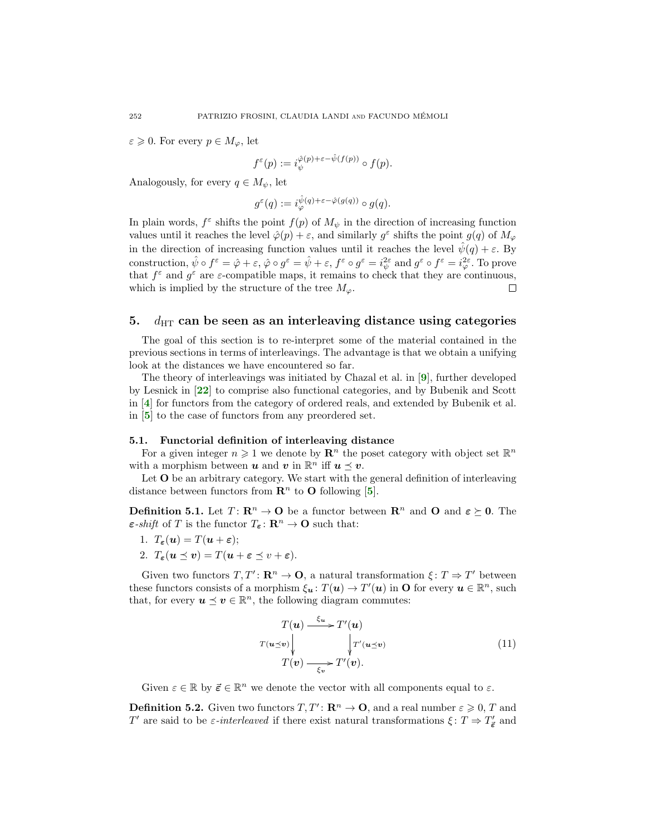$\varepsilon \geqslant 0$ . For every  $p \in M_\varphi$ , let

$$
f^\varepsilon(p):=i_\psi^{\hat{\varphi}(p)+\varepsilon-\hat{\psi}(f(p))}\circ f(p).
$$

Analogously, for every  $q \in M_{\psi}$ , let

$$
g^{\varepsilon}(q):=i_{\varphi}^{\hat{\psi}(q)+\varepsilon-\hat{\varphi}(g(q))}\circ g(q).
$$

In plain words,  $f^{\varepsilon}$  shifts the point  $f(p)$  of  $M_{\psi}$  in the direction of increasing function values until it reaches the level  $\hat{\varphi}(p) + \varepsilon$ , and similarly  $g^{\varepsilon}$  shifts the point  $g(q)$  of  $M_{\varphi}$ in the direction of increasing function values until it reaches the level  $\hat{\psi}(q) + \varepsilon$ . By construction,  $\hat{\psi} \circ f^{\varepsilon} = \hat{\varphi} + \varepsilon$ ,  $\hat{\varphi} \circ g^{\varepsilon} = \hat{\psi} + \varepsilon$ ,  $f^{\varepsilon} \circ g^{\varepsilon} = i_{\psi}^{2\varepsilon}$  and  $g^{\varepsilon} \circ f^{\varepsilon} = i_{\varphi}^{2\varepsilon}$ . To prove that  $f^{\varepsilon}$  and  $g^{\varepsilon}$  are  $\varepsilon$ -compatible maps, it remains to check that they are continuous, which is implied by the structure of the tree  $M_{\varphi}$ .  $\Box$ 

# <span id="page-21-0"></span>5.  $d_{\text{HT}}$  can be seen as an interleaving distance using categories

The goal of this section is to re-interpret some of the material contained in the previous sections in terms of interleavings. The advantage is that we obtain a unifying look at the distances we have encountered so far.

The theory of interleavings was initiated by Chazal et al. in [[9](#page-27-3)], further developed by Lesnick in [[22](#page-28-3)] to comprise also functional categories, and by Bubenik and Scott in [[4](#page-27-4)] for functors from the category of ordered reals, and extended by Bubenik et al. in [[5](#page-27-9)] to the case of functors from any preordered set.

### 5.1. Functorial definition of interleaving distance

For a given integer  $n \geq 1$  we denote by  $\mathbb{R}^n$  the poset category with object set  $\mathbb{R}^n$ with a morphism between  $u$  and  $v$  in  $\mathbb{R}^n$  iff  $u \leq v$ .

Let **O** be an arbitrary category. We start with the general definition of interleaving distance between functors from  $\mathbb{R}^n$  to O following [[5](#page-27-9)].

<span id="page-21-1"></span>**Definition 5.1.** Let  $T: \mathbb{R}^n \to \mathbb{O}$  be a functor between  $\mathbb{R}^n$  and  $\mathbb{O}$  and  $\varepsilon \succeq 0$ . The  $\varepsilon\text{-}shift$  of T is the functor  $T_{\varepsilon} : \mathbb{R}^n \to \mathbb{O}$  such that:

- 1.  $T_{\epsilon}(\boldsymbol{u}) = T(\boldsymbol{u} + \boldsymbol{\epsilon});$
- 2.  $T_{\varepsilon}(\mathbf{u} \preceq \mathbf{v}) = T(\mathbf{u} + \varepsilon \preceq v + \varepsilon).$

Given two functors  $T, T' : \mathbf{R}^n \to \mathbf{O}$ , a natural transformation  $\xi : T \Rightarrow T'$  between these functors consists of a morphism  $\xi_{\mathbf{u}}\colon T(\mathbf{u}) \to T'(\mathbf{u})$  in **O** for every  $\mathbf{u} \in \mathbb{R}^n$ , such that, for every  $u \preceq v \in \mathbb{R}^n$ , the following diagram commutes:

<span id="page-21-2"></span>
$$
T(\boldsymbol{u}) \xrightarrow{\xi_{\boldsymbol{u}}} T'(\boldsymbol{u})
$$
  
\n
$$
T(\boldsymbol{u} \preceq \boldsymbol{v}) \downarrow \qquad \qquad \downarrow T'(\boldsymbol{u} \preceq \boldsymbol{v})
$$
  
\n
$$
T(\boldsymbol{v}) \xrightarrow{\xi_{\boldsymbol{v}}} T'(\boldsymbol{v}).
$$
\n(11)

Given  $\varepsilon \in \mathbb{R}$  by  $\vec{\varepsilon} \in \mathbb{R}^n$  we denote the vector with all components equal to  $\varepsilon$ .

<span id="page-21-3"></span>**Definition 5.2.** Given two functors  $T, T' : \mathbb{R}^n \to \mathbb{O}$ , and a real number  $\varepsilon \geq 0, T$  and  $T'$  are said to be  $\varepsilon$ -interleaved if there exist natural transformations  $\xi: T \Rightarrow T'_{\vec{\epsilon}}$  and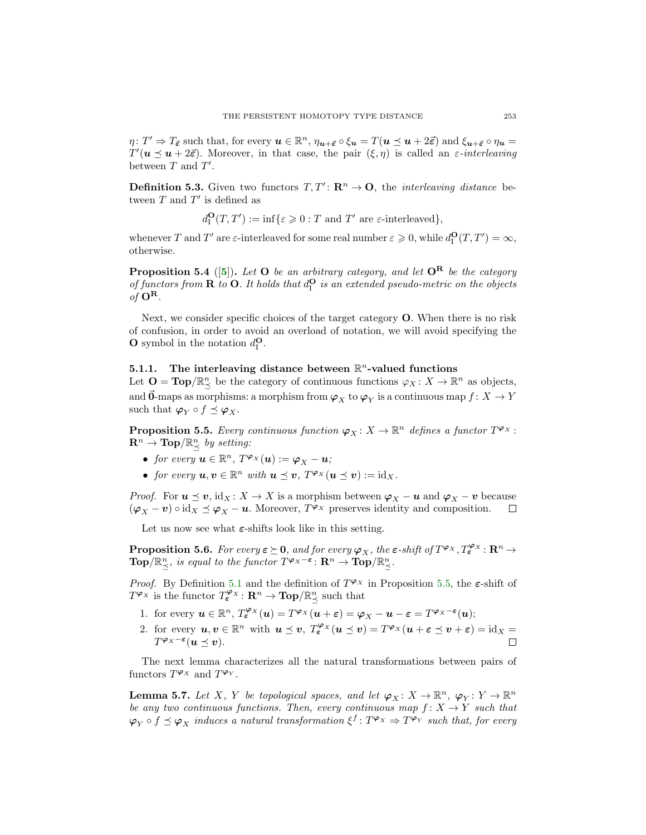$\eta\colon T'\Rightarrow T_{\vec{\boldsymbol{\varepsilon}}}$  such that, for every  $\boldsymbol{u}\in\mathbb{R}^n$ ,  $\eta_{\boldsymbol{u}+\vec{\boldsymbol{\varepsilon}}}\circ\xi_{\boldsymbol{u}}=T(\boldsymbol{u}\preceq\boldsymbol{u}+2\vec{\boldsymbol{\varepsilon}})$  and  $\xi_{\boldsymbol{u}+\vec{\boldsymbol{\varepsilon}}}\circ\eta_{\boldsymbol{u}}=$  $T'(\boldsymbol{u} \preceq \boldsymbol{u} + 2\vec{\epsilon})$ . Moreover, in that case, the pair  $(\xi, \eta)$  is called an  $\varepsilon$ -interleaving between  $T$  and  $T'$ .

**Definition 5.3.** Given two functors  $T, T' : \mathbb{R}^n \to \mathbb{O}$ , the *interleaving distance* between  $T$  and  $T'$  is defined as

$$
d^{\mathbf{O}}_{\mathrm{I}}(T,T'): = \inf \{\varepsilon \geqslant 0 : T \text{ and } T' \text{ are } \varepsilon\text{-interleaved}\},
$$

whenever T and T' are  $\varepsilon$ -interleaved for some real number  $\varepsilon \geqslant 0$ , while  $d_{\text{I}}^{\mathbf{O}}(T,T') = \infty$ , otherwise.

**Proposition [5](#page-27-9).4** ([5]). Let **O** be an arbitrary category, and let  $O^R$  be the category of functors from **R** to **O**. It holds that  $d_{\text{I}}^{\text{O}}$  is an extended pseudo-metric on the objects of  $\mathbf{O}^{\mathbf{R}}$ .

Next, we consider specific choices of the target category O. When there is no risk of confusion, in order to avoid an overload of notation, we will avoid specifying the **O** symbol in the notation  $d_{\text{I}}^{\text{O}}$ .

# 5.1.1. The interleaving distance between  $\mathbb{R}^n$ -valued functions

Let  $\mathbf{O} = \text{Top}/\mathbb{R}^n_{\preceq}$  be the category of continuous functions  $\varphi_X \colon X \to \mathbb{R}^n$  as objects, and  $\vec{\textbf{0}}$ -maps as morphisms: a morphism from  $\bm{\varphi}_X$  to  $\bm{\varphi}_Y$  is a continuous map  $f \colon X \to Y$ such that  $\varphi_Y \circ f \preceq \varphi_X$ .

<span id="page-22-0"></span>**Proposition 5.5.** Every continuous function  $\varphi_X \colon X \to \mathbb{R}^n$  defines a functor  $T^{\varphi_X}$ :  $\mathbf{R}^n \to \mathbf{Top}/\mathbb{R}^n_{\preceq}$  by setting:

- for every  $\mathbf{u} \in \mathbb{R}^n$ ,  $T^{\varphi_X}(\mathbf{u}) := \varphi_X \mathbf{u}$ ;
- for every  $u, v \in \mathbb{R}^n$  with  $u \preceq v$ ,  $T^{\varphi_X}(u \preceq v) := id_X$ .

*Proof.* For  $u \le v$ , id<sub>X</sub> :  $X \to X$  is a morphism between  $\varphi_X - u$  and  $\varphi_X - v$  because  $(\varphi_X - v) \circ id_X \preceq \varphi_X - u$ . Moreover,  $T^{\varphi_X}$  preserves identity and composition. □

Let us now see what  $\varepsilon$ -shifts look like in this setting.

<span id="page-22-2"></span>**Proposition 5.6.** For every  $\boldsymbol{\varepsilon} \geq \mathbf{0}$ , and for every  $\boldsymbol{\varphi}_X$ , the  $\boldsymbol{\varepsilon}$ -shift of  $T^{\boldsymbol{\varphi}_X}$ ,  $T_{\boldsymbol{\varepsilon}}^{\boldsymbol{\varphi}_X}$ :  $\mathbf{R}^n \to$  $\text{Top}/\mathbb{R}^n_{\preceq}$ , is equal to the functor  $T^{\varphi_X-\varepsilon} \colon \mathbf{R}^n \to \text{Top}/\mathbb{R}^n_{\preceq}$ .

*Proof.* By Definition [5.1](#page-21-1) and the definition of  $T^{\varphi_X}$  in Proposition [5.5,](#page-22-0) the  $\varepsilon$ -shift of  $T^{\varphi_X}$  is the functor  $T^{\varphi_X}_{\epsilon} : \mathbf{R}^n \to \mathbf{Top}/\mathbb{R}^n_{\preceq}$  such that

- 1. for every  $u \in \mathbb{R}^n$ ,  $T_{\varepsilon}^{\varphi_X}(u) = T^{\varphi_X}(u + \varepsilon) = \varphi_X u \varepsilon = T^{\varphi_X \varepsilon}(u)$ ;
- 2. for every  $u, v \in \mathbb{R}^n$  with  $u \preceq v$ ,  $T_{\varepsilon}^{\varphi_X}(u \preceq v) = T^{\varphi_X}(u + \varepsilon \preceq v + \varepsilon) = id_X =$  $T^{\varphi_X-\varepsilon}(\boldsymbol{u} \preceq \boldsymbol{v}).$ П

The next lemma characterizes all the natural transformations between pairs of functors  $T^{\varphi_X}$  and  $T^{\varphi_Y}$ .

<span id="page-22-1"></span>**Lemma 5.7.** Let X, Y be topological spaces, and let  $\varphi_X : X \to \mathbb{R}^n$ ,  $\varphi_Y : Y \to \mathbb{R}^n$ be any two continuous functions. Then, every continuous map  $f: X \to Y$  such that  $\varphi_Y \circ f \preceq \varphi_X$  induces a natural transformation  $\xi^f \colon T^{\varphi_X} \Rightarrow T^{\varphi_Y}$  such that, for every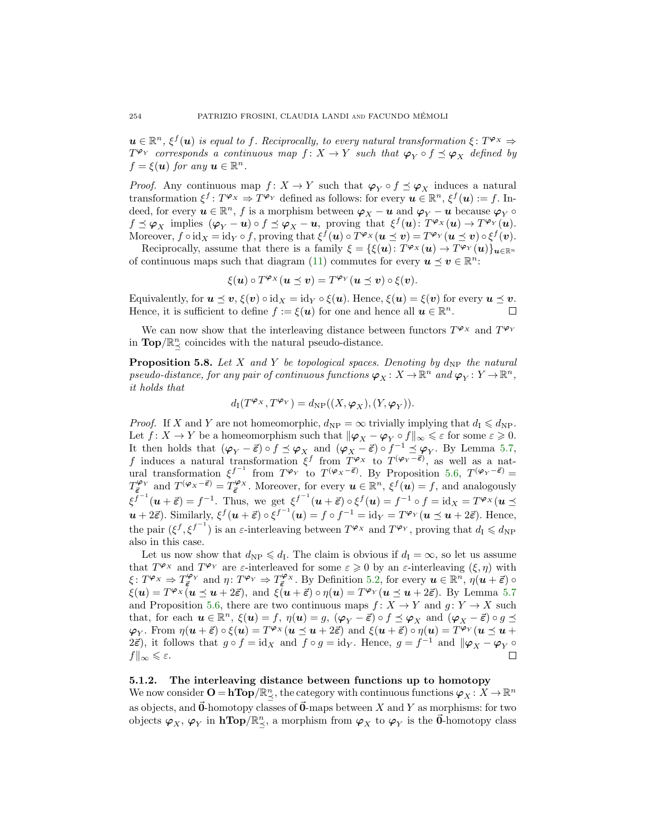$u \in \mathbb{R}^n$ ,  $\xi^f(u)$  is equal to f. Reciprocally, to every natural transformation  $\xi: T^{\varphi_X} \Rightarrow$  $T^{\varphi_Y}$  corresponds a continuous map  $f: X \to Y$  such that  $\varphi_Y \circ f \preceq \varphi_X$  defined by  $f = \xi(\boldsymbol{u})$  for any  $\boldsymbol{u} \in \mathbb{R}^n$ .

*Proof.* Any continuous map  $f: X \to Y$  such that  $\varphi_Y \circ f \preceq \varphi_X$  induces a natural transformation  $\xi^f: T^{\varphi_X} \to T^{\varphi_Y}$  defined as follows: for every  $u \in \mathbb{R}^n$ ,  $\xi^f(u) := f$ . Indeed, for every  $u \in \mathbb{R}^n$ , f is a morphism between  $\varphi_X - u$  and  $\varphi_Y - u$  because  $\varphi_Y \circ$  $f \preceq \varphi_X$  implies  $(\varphi_Y - \mathbf{u}) \circ f \preceq \varphi_X - \mathbf{u}$ , proving that  $\xi^f(\mathbf{u}) \colon T^{\varphi_X}(\mathbf{u}) \to T^{\varphi_Y}(\mathbf{u})$ . Moreover,  $f \circ id_X = id_Y \circ f$ , proving that  $\xi^f(u) \circ T^{\varphi_X}(u \preceq v) = T^{\varphi_Y}(u \preceq v) \circ \xi^f(v)$ .

Reciprocally, assume that there is a family  $\xi = {\xi(\boldsymbol{u}) \colon T^{\varphi_X}(\boldsymbol{u}) \to T^{\varphi_Y}(\boldsymbol{u})} u \in \mathbb{R}^n$ of continuous maps such that diagram [\(11\)](#page-21-2) commutes for every  $u \le v \in \mathbb{R}^n$ .

$$
\xi(\boldsymbol{u})\circ T^{\varphi_X}(\boldsymbol{u}\preceq \boldsymbol{v})=T^{\varphi_Y}(\boldsymbol{u}\preceq \boldsymbol{v})\circ \xi(\boldsymbol{v}).
$$

Equivalently, for  $u \preceq v$ ,  $\xi(v) \circ id_X = id_Y \circ \xi(u)$ . Hence,  $\xi(u) = \xi(v)$  for every  $u \preceq v$ . Hence, it is sufficient to define  $f := \xi(u)$  for one and hence all  $u \in \mathbb{R}^n$ . П

We can now show that the interleaving distance between functors  $T^{\varphi_X}$  and  $T^{\varphi_Y}$ in  $\mathbf{Top}/\mathbb{R}^n_{\preceq}$  coincides with the natural pseudo-distance.

<span id="page-23-0"></span>**Proposition 5.8.** Let X and Y be topological spaces. Denoting by  $d_{\text{NP}}$  the natural pseudo-distance, for any pair of continuous functions  $\bm{\varphi}_X \colon X \to \mathbb{R}^n$  and  $\bm{\varphi}_Y \colon Y \to \mathbb{R}^n$ , it holds that

$$
d_{\mathrm{I}}(T^{\boldsymbol{\varphi}_X},T^{\boldsymbol{\varphi}_Y})=d_{\mathrm{NP}}((X,\boldsymbol{\varphi}_X),(Y,\boldsymbol{\varphi}_Y)).
$$

*Proof.* If X and Y are not homeomorphic,  $d_{\rm NP} = \infty$  trivially implying that  $d_{\rm I} \leq d_{\rm NP}$ . Let  $f: X \to Y$  be a homeomorphism such that  $\|\varphi_X - \varphi_Y \circ f\|_{\infty} \leq \varepsilon$  for some  $\varepsilon \geq 0$ . It then holds that  $(\varphi_Y - \vec{\varepsilon}) \circ f \preceq \varphi_X$  and  $(\varphi_X - \vec{\varepsilon}) \circ f^{-1} \preceq \varphi_Y$ . By Lemma [5.7,](#page-22-1) f induces a natural transformation  $\xi^f$  from  $T^{\varphi_X}$  to  $T^{(\varphi_Y - \vec{\epsilon})}$ , as well as a natural transformation  $\xi^{f^{-1}}$  from  $T^{\varphi_Y}$  to  $T^{(\varphi_X-\vec{\epsilon})}$ . By Proposition [5.6,](#page-22-2)  $T^{(\varphi_Y-\vec{\epsilon})}$  =  $T_{\vec{\epsilon}}^{\varphi_Y}$  and  $T^{(\varphi_X-\vec{\epsilon})} = T_{\vec{\epsilon}}^{\varphi_X}$ . Moreover, for every  $u \in \mathbb{R}^n$ ,  $\xi^f(u) = f$ , and analogously  $\xi^{f^{-1}}(\boldsymbol{u}+\vec{\varepsilon})=f^{-1}$ . Thus, we get  $\xi^{f^{-1}}(\boldsymbol{u}+\vec{\varepsilon})\circ \xi^f(\boldsymbol{u})=f^{-1}\circ f=\text{id}_X=T^{\varphi_X}(\boldsymbol{u}\preceq \xi^f)$  $u + 2\vec{\varepsilon}$ ). Similarly,  $\xi^f(u + \vec{\varepsilon}) \circ \xi^{f^{-1}}(u) = f \circ f^{-1} = id_Y = T^{\varphi_Y}(u \preceq u + 2\vec{\varepsilon})$ . Hence, the pair  $(\xi^f, \xi^{f^{-1}})$  is an  $\varepsilon$ -interleaving between  $T^{\varphi_X}$  and  $T^{\varphi_Y}$ , proving that  $d_I \leqslant d_{\text{NP}}$ also in this case.

Let us now show that  $d_{\text{NP}} \leq d_{\text{I}}$ . The claim is obvious if  $d_{\text{I}} = \infty$ , so let us assume that  $T^{\varphi_X}$  and  $T^{\varphi_Y}$  are  $\varepsilon$ -interleaved for some  $\varepsilon \geq 0$  by an  $\varepsilon$ -interleaving  $(\xi, \eta)$  with  $\xi\colon T^{\varphi_X} \Rightarrow T^{\varphi_Y}_{\vec{\epsilon}}$  and  $\eta\colon T^{\varphi_Y} \Rightarrow T^{\varphi_X}_{\vec{\epsilon}}$ . By Definition [5.2,](#page-21-3) for every  $u \in \mathbb{R}^n$ ,  $\eta(u+\vec{\epsilon}) \circ$  $\xi(\boldsymbol{u}) = T^{\varphi_X}(\boldsymbol{u} \preceq \boldsymbol{u} + 2\vec{\varepsilon}), \text{ and } \xi(\boldsymbol{u} + \vec{\varepsilon}) \circ \eta(\boldsymbol{u}) = T^{\varphi_Y}(\boldsymbol{u} \preceq \boldsymbol{u} + 2\vec{\varepsilon}).$  By Lemma [5.7](#page-22-1) and Proposition [5.6,](#page-22-2) there are two continuous maps  $f: X \to Y$  and  $g: Y \to X$  such that, for each  $u \in \mathbb{R}^n$ ,  $\xi(u) = f$ ,  $\eta(u) = g$ ,  $(\varphi_Y - \vec{\varepsilon}) \circ f \preceq \varphi_X$  and  $(\varphi_X - \vec{\varepsilon}) \circ g \preceq$  $\varphi_Y$ . From  $\eta(\boldsymbol{u}+\vec{\varepsilon})\circ \xi(\boldsymbol{u})=T^{\varphi_X}(\boldsymbol{u}\preceq \boldsymbol{u}+2\vec{\varepsilon})$  and  $\xi(\boldsymbol{u}+\vec{\varepsilon})\circ \eta(\boldsymbol{u})=T^{\varphi_Y}(\boldsymbol{u}\preceq \boldsymbol{u}+2\vec{\varepsilon})$  $2\vec{\epsilon}$ ), it follows that  $g \circ f = id_X$  and  $f \circ g = id_Y$ . Hence,  $g = f^{-1}$  and  $\|\varphi_X - \varphi_Y \circ$  $f\|_{\infty}\leqslant \varepsilon.$  $\Box$ 

### 5.1.2. The interleaving distance between functions up to homotopy

We now consider  $\mathbf{O} = \mathbf{hTop}/\mathbb{R}_{\preceq}^n$ , the category with continuous functions  $\boldsymbol{\varphi}_X : X \to \mathbb{R}^n$ as objects, and  $\ddot{\mathbf{0}}$ -homotopy classes of  $\ddot{\mathbf{0}}$ -maps between X and Y as morphisms: for two objects  $\varphi_X$ ,  $\varphi_Y$  in  $h\text{Top}/\mathbb{R}^n_\preceq$ , a morphism from  $\varphi_X$  to  $\varphi_Y$  is the  $\vec{0}$ -homotopy class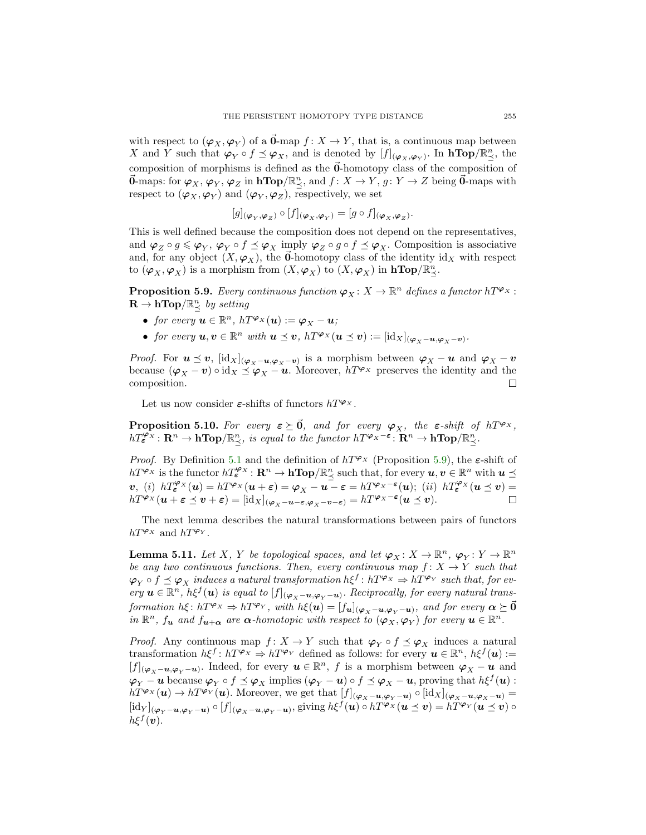with respect to  $(\varphi_X, \varphi_Y)$  of a  $\vec{\mathbf{0}}$ -map  $f : X \to Y$ , that is, a continuous map between X and Y such that  $\varphi_Y \circ f \preceq \varphi_X$ , and is denoted by  $[f]_{(\varphi_X, \varphi_Y)}$ . In  $h\mathbf{Top}/\mathbb{R}^n_{\preceq}$ , the composition of morphisms is defined as the  $\vec{0}$ -homotopy class of the composition of  $\vec{0}$ -maps: for  $\varphi_X$ ,  $\varphi_Y$ ,  $\varphi_Z$  in  $\text{hTop}/\mathbb{R}^n_\preceq$ , and  $f: X \to Y$ ,  $g: Y \to Z$  being  $\vec{0}$ -maps with respect to  $(\varphi_X, \varphi_Y)$  and  $(\varphi_Y, \varphi_Z)$ , respectively, we set

$$
[g]_{(\boldsymbol{\varphi}_X,\boldsymbol{\varphi}_Z)} \circ [f]_{(\boldsymbol{\varphi}_X,\boldsymbol{\varphi}_Y)} = [g \circ f]_{(\boldsymbol{\varphi}_X,\boldsymbol{\varphi}_Z)}.
$$

This is well defined because the composition does not depend on the representatives, and  $\varphi_Z \circ g \leqslant \varphi_Y$ ,  $\varphi_Y \circ f \preceq \varphi_X$  imply  $\varphi_Z \circ g \circ f \preceq \varphi_X$ . Composition is associative and, for any object  $(X, \varphi_X)$ , the **0**-homotopy class of the identity id<sub>X</sub> with respect to  $(\varphi_X, \varphi_X)$  is a morphism from  $(X, \varphi_X)$  to  $(X, \varphi_X)$  in  $\text{hTop}/\mathbb{R}^n_{\preceq}$ .

<span id="page-24-0"></span>**Proposition 5.9.** Every continuous function  $\varphi_X \colon X \to \mathbb{R}^n$  defines a functor  $h T^{\varphi_X}$ :  $\mathbf{R} \to \mathbf{hTop}/\mathbb{R}_{\preceq}^n$  by setting

- for every  $u \in \mathbb{R}^n$ ,  $h T^{\varphi_X}(u) := \varphi_X u;$
- for every  $u, v \in \mathbb{R}^n$  with  $u \preceq v$ ,  $h T^{\varphi_X}(u \preceq v) := [\mathrm{id}_X]_{(\varphi_X u, \varphi_X v)}$ .

*Proof.* For  $u \leq v$ ,  $[\text{idx}]_{(\varphi_X - u, \varphi_X - v)}$  is a morphism between  $\varphi_X - u$  and  $\varphi_X - v$ because  $(\varphi_X - v) \circ id_X \preceq \varphi_X - u$ . Moreover,  $h T^{\varphi_X}$  preserves the identity and the composition.  $\Box$ 

Let us now consider  $\varepsilon$ -shifts of functors  $h T^{\varphi_X}$ .

<span id="page-24-2"></span>**Proposition 5.10.** For every  $\varepsilon \geq \vec{0}$ , and for every  $\varphi_X$ , the  $\varepsilon$ -shift of  $h T^{\varphi_X}$ ,  $hT_{\boldsymbol{\varepsilon}}^{\boldsymbol{\varphi}_{\boldsymbol{\chi}}} : \mathbf{R}^n \to \mathbf{hTop}/\mathbb{R}^n_{\preceq}$ , is equal to the functor  $hT^{\boldsymbol{\varphi}_{\boldsymbol{\chi}}-\boldsymbol{\varepsilon}} : \mathbf{R}^n \to \mathbf{hTop}/\mathbb{R}^n_{\preceq}$ .

*Proof.* By Definition [5.1](#page-21-1) and the definition of  $h T^{\varphi_{X}}$  (Proposition [5.9\)](#page-24-0), the  $\varepsilon$ -shift of  $h T^{\varphi_X}$  is the functor  $h T_{\bm{\varepsilon}}^{\varphi_X} \colon \mathbf{R}^n \to \mathbf{h} \mathbf{Top}/\mathbb{R}^n_{\preceq}$  such that, for every  $u, v \in \mathbb{R}^n$  with  $u \preceq$  $v, (i)$   $hT_{\epsilon}^{\varphi_X}(u) = hT^{\varphi_X}(u+\epsilon) = \varphi_X - u - \epsilon = hT^{\varphi_X-\epsilon}(u); (ii)$   $hT_{\epsilon}^{\varphi_X}(u \leq v) =$  $h T^{\varphi_X}(\boldsymbol{u}+\boldsymbol{\varepsilon}\preceq \boldsymbol{v}+\boldsymbol{\varepsilon}) = [\mathrm{id}_X]_{(\varphi_X-\boldsymbol{u}-\boldsymbol{\varepsilon},\varphi_X-\boldsymbol{v}-\boldsymbol{\varepsilon})}=h T^{\varphi_X-\boldsymbol{\varepsilon}}(\boldsymbol{u}\preceq \boldsymbol{v}).$  $\Box$ 

The next lemma describes the natural transformations between pairs of functors  $h T^{\varphi_X}$  and  $h T^{\varphi_Y}$ .

<span id="page-24-1"></span>**Lemma 5.11.** Let X, Y be topological spaces, and let  $\varphi_X : X \to \mathbb{R}^n$ ,  $\varphi_Y : Y \to \mathbb{R}^n$ be any two continuous functions. Then, every continuous map  $f: X \to Y$  such that  $\varphi_Y\circ f\preceq\varphi_X$  induces a natural transformation  $h\xi^f\colon hT^{\varphi_X}\Rightarrow hT^{\varphi_Y}$  such that, for every  $u \in \mathbb{R}^n$ ,  $h\xi^f(u)$  is equal to  $[f]_{(\varphi_X - u, \varphi_Y - u)}$ . Reciprocally, for every natural transformation  $h\xi\colon hT^{\boldsymbol{\varphi}_X}\Rightarrow hT^{\boldsymbol{\varphi}_Y},$  with  $h\xi(\boldsymbol{u})=[f_{\boldsymbol{u}}]_{(\boldsymbol{\varphi}_X-\boldsymbol{u},\boldsymbol{\varphi}_Y-\boldsymbol{u})},$  and for every  $\boldsymbol{\alpha}\succeq\vec{0}$ in  $\mathbb{R}^n$ ,  $f_u$  and  $f_{u+\alpha}$  are  $\alpha$ -homotopic with respect to  $(\varphi_X, \varphi_Y)$  for every  $u \in \mathbb{R}^n$ .

*Proof.* Any continuous map  $f: X \to Y$  such that  $\varphi_Y \circ f \preceq \varphi_X$  induces a natural transformation  $h\xi^f: hT^{\varphi_X} \Rightarrow hT^{\varphi_Y}$  defined as follows: for every  $u \in \mathbb{R}^n$ ,  $h\xi^f(u)$  :=  $[f]_{(\varphi_X - \mathbf{u}, \varphi_Y - \mathbf{u})}$ . Indeed, for every  $\mathbf{u} \in \mathbb{R}^n$ , f is a morphism between  $\varphi_X - \mathbf{u}$  and  $\bm{\varphi}_Y - \bm{u}$  because  $\bm{\varphi}_Y \circ f \preceq \bm{\varphi}_X$  implies  $(\bm{\varphi}_Y - \bm{u}) \circ f \preceq \bm{\varphi}_X - \bm{u}$ , proving that  $h\xi^f(\bm{u})$ :  $h T^{\varphi_X}(\mathbf{u}) \to h T^{\varphi_Y}(\mathbf{u})$ . Moreover, we get that  $[f]_{(\varphi_X - \mathbf{u}, \varphi_Y - \mathbf{u})} \circ [\mathrm{id}_X]_{(\varphi_X - \mathbf{u}, \varphi_X - \mathbf{u})} =$  $[\mathrm{id}_Y]_{(\boldsymbol{\varphi}_Y - \boldsymbol{u}, \boldsymbol{\varphi}_Y - \boldsymbol{u})} \circ [f]_{(\boldsymbol{\varphi}_X - \boldsymbol{u}, \boldsymbol{\varphi}_Y - \boldsymbol{u})},$  giving  $h\xi^f(\boldsymbol{u}) \circ hT^{\boldsymbol{\varphi}_X}(\boldsymbol{u} \preceq \boldsymbol{v}) = hT^{\boldsymbol{\varphi}_Y}(\boldsymbol{u} \preceq \boldsymbol{v}) \circ$  $h\xi^f(\boldsymbol{v})$ .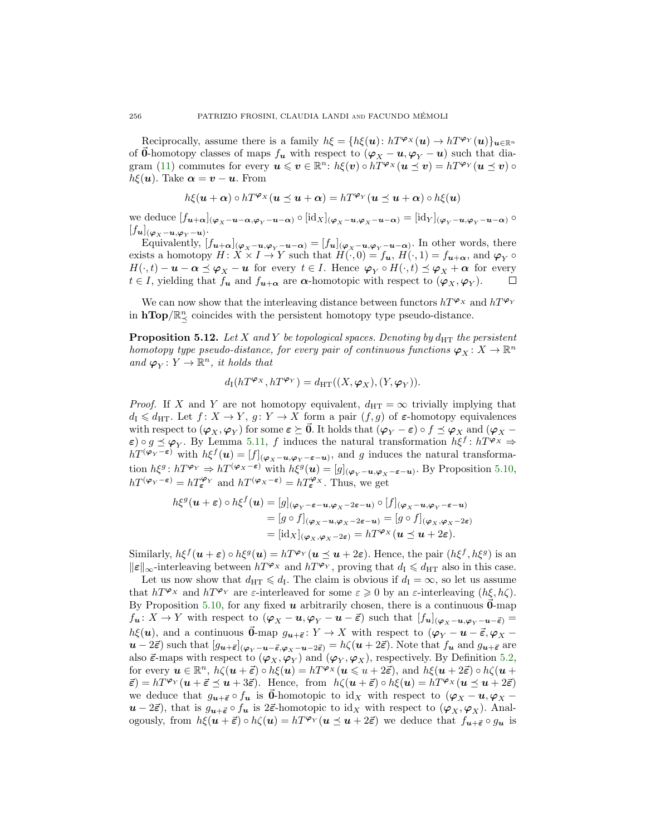Reciprocally, assume there is a family  $h\xi = \{h\xi(\mathbf{u}): hT^{\varphi}(\mathbf{u}) \to hT^{\varphi}(\mathbf{u})\}_{\mathbf{u}\in\mathbb{R}^n}$ of  $\vec{\mathbf{0}}$ -homotopy classes of maps  $f_{\mathbf{u}}$  with respect to  $(\varphi_X - \mathbf{u}, \varphi_Y - \mathbf{u})$  such that dia-gram [\(11\)](#page-21-2) commutes for every  $u \leqslant v \in \mathbb{R}^n$ :  $h\xi(v) \circ hT^{\varphi_X}(u \preceq v) = hT^{\varphi_Y}(u \preceq v) \circ$  $h\xi(\mathbf{u})$ . Take  $\boldsymbol{\alpha} = \boldsymbol{v} - \boldsymbol{u}$ . From

$$
h\xi(\boldsymbol{u}+\boldsymbol{\alpha})\circ hT^{\boldsymbol{\varphi}_X}(\boldsymbol{u}\preceq \boldsymbol{u}+\boldsymbol{\alpha})=hT^{\boldsymbol{\varphi}_Y}(\boldsymbol{u}\preceq \boldsymbol{u}+\boldsymbol{\alpha})\circ h\xi(\boldsymbol{u})
$$

we deduce  $[f_{u+\alpha}]_{(\varphi_X-u-\alpha,\varphi_Y-u-\alpha)} \circ [\mathrm{id}_X]_{(\varphi_X-u,\varphi_X-u-\alpha)} = [\mathrm{id}_Y]_{(\varphi_Y-u,\varphi_Y-u-\alpha)} \circ$  $[f_{\boldsymbol{u}}]_{(\boldsymbol{\varphi}_X-\boldsymbol{u},\boldsymbol{\varphi}_Y-\boldsymbol{u})}.$ 

Equivalently,  $[f_{u+\alpha}]_{(\varphi_X-u,\varphi_Y-u-\alpha)} = [f_u]_{(\varphi_X-u,\varphi_Y-u-\alpha)}$ . In other words, there exists a homotopy  $H: X \times I \to Y$  such that  $H(\cdot, 0) = f_{\mathbf{u}}, H(\cdot, 1) = f_{\mathbf{u}+\alpha}$ , and  $\varphi_Y \circ$  $H(\cdot,t)-\boldsymbol{u}-\boldsymbol{\alpha} \preceq \boldsymbol{\varphi}_X-\boldsymbol{u}$  for every  $t \in I$ . Hence  $\boldsymbol{\varphi}_Y \circ H(\cdot,t) \preceq \boldsymbol{\varphi}_X+\boldsymbol{\alpha}$  for every  $t \in I$ , yielding that  $f_{\mathbf{u}}$  and  $f_{\mathbf{u}+\alpha}$  are  $\alpha$ -homotopic with respect to  $(\varphi_X, \varphi_Y)$ . □

We can now show that the interleaving distance between functors  $h T^{\varphi_X}$  and  $h T^{\varphi_Y}$ in  $\mathbf{hTop}/\mathbb{R}^n_{\preceq}$  coincides with the persistent homotopy type pseudo-distance.

<span id="page-25-0"></span>**Proposition 5.12.** Let X and Y be topological spaces. Denoting by  $d_{\text{HT}}$  the persistent homotopy type pseudo-distance, for every pair of continuous functions  $\varphi_X \colon X \to \mathbb{R}^n$ and  $\varphi_Y \colon Y \to \mathbb{R}^n$ , it holds that

$$
d_{\mathrm{I}}(hT^{\boldsymbol{\varphi}_X},hT^{\boldsymbol{\varphi}_Y})=d_{\mathrm{HT}}((X,\boldsymbol{\varphi}_X),(Y,\boldsymbol{\varphi}_Y)).
$$

*Proof.* If X and Y are not homotopy equivalent,  $d_{\text{HT}} = \infty$  trivially implying that  $d_I \leq d_{\text{HT}}$ . Let  $f: X \to Y$ ,  $g: Y \to X$  form a pair  $(f, g)$  of  $\varepsilon$ -homotopy equivalences with respect to  $(\varphi_X, \varphi_Y)$  for some  $\varepsilon \succeq \vec{0}$ . It holds that  $(\varphi_Y - \varepsilon) \circ f \preceq \varphi_X$  and  $(\varphi_X - \varepsilon)$  $\varepsilon) \circ g \preceq \varphi_Y$ . By Lemma [5.11,](#page-24-1) f induces the natural transformation  $h\xi^f: hT^{\varphi_X} \Rightarrow$  $h T^{(\varphi_Y - \varepsilon)}$  with  $h \xi^f(u) = [f]_{(\varphi_X - u, \varphi_Y - \varepsilon - u)}$ , and g induces the natural transformation  $h\xi^g$ :  $h T^{\varphi_Y} \Rightarrow h T^{(\varphi_X - \varepsilon)}$  with  $h\xi^g(u) = [g]_{(\varphi_Y - u, \varphi_X - \varepsilon - u)}$ . By Proposition [5.10,](#page-24-2)  $h T^{(\varphi_Y - \varepsilon)} = h T_{\varepsilon}^{\varphi_Y}$  and  $h T^{(\varphi_X - \varepsilon)} = h T_{\varepsilon}^{\varphi_X}$ . Thus, we get

$$
h\xi^{g}(u+\varepsilon) \circ h\xi^{f}(u) = [g]_{(\varphi_{Y}-\varepsilon-u,\varphi_{X}-2\varepsilon-u)} \circ [f]_{(\varphi_{X}-u,\varphi_{Y}-\varepsilon-u)}
$$
  
\n
$$
= [g \circ f]_{(\varphi_{X}-u,\varphi_{X}-2\varepsilon-u)} = [g \circ f]_{(\varphi_{X},\varphi_{X}-2\varepsilon)}
$$
  
\n
$$
= [\mathrm{id}_{X}]_{(\varphi_{X},\varphi_{X}-2\varepsilon)} = hT^{\varphi_{X}}(u \le u + 2\varepsilon).
$$

Similarly,  $h\xi^f(u+\varepsilon) \circ h\xi^g(u) = hT^{\varphi_Y}(u \le u+2\varepsilon)$ . Hence, the pair  $(h\xi^f, h\xi^g)$  is an  $\|\varepsilon\|_{\infty}$ -interleaving between  $h T^{\varphi_X}$  and  $h T^{\varphi_Y}$ , proving that  $d_I \leq d_{HT}$  also in this case.

Let us now show that  $d_{\text{HT}} \leqslant d_{\text{I}}$ . The claim is obvious if  $d_{\text{I}} = \infty$ , so let us assume that  $h T^{\varphi_X}$  and  $h T^{\varphi_Y}$  are  $\varepsilon$ -interleaved for some  $\varepsilon \geqslant 0$  by an  $\varepsilon$ -interleaving  $(h\xi, h\zeta)$ . By Proposition [5.10,](#page-24-2) for any fixed  $u$  arbitrarily chosen, there is a continuous  $0$ -map  $f_{\boldsymbol{u}}: X \to Y$  with respect to  $(\boldsymbol{\varphi}_X - \boldsymbol{u}, \boldsymbol{\varphi}_Y - \boldsymbol{u} - \vec{\varepsilon})$  such that  $[f_{\boldsymbol{u}}]_{(\boldsymbol{\varphi}_X - \boldsymbol{u}, \boldsymbol{\varphi}_Y - \boldsymbol{u} - \vec{\varepsilon})}$  $h\xi(\mathbf{u})$ , and a continuous  $\vec{\mathbf{0}}$ -map  $g_{\mathbf{u}+\vec{\boldsymbol{\epsilon}}}$ :  $Y \to X$  with respect to  $(\boldsymbol{\varphi}_Y - \mathbf{u} - \vec{\boldsymbol{\epsilon}}, \boldsymbol{\varphi}_X$  $u - 2\vec{\epsilon}$ ) such that  $[g_{u+\vec{\epsilon}}]_{(\varphi_V - u - \vec{\epsilon}, \varphi_V - u - 2\vec{\epsilon})} = h\zeta(u + 2\vec{\epsilon})$ . Note that  $f_u$  and  $g_{u+\vec{\epsilon}}$  are also  $\vec{\epsilon}$ -maps with respect to  $(\varphi_X, \varphi_Y)$  and  $(\varphi_Y, \varphi_X)$ , respectively. By Definition [5.2,](#page-21-3) for every  $u \in \mathbb{R}^n$ ,  $h\zeta(u+\vec{\varepsilon}) \circ h\xi(u) = hT^{\varphi_X}(u \leq u+2\vec{\varepsilon})$ , and  $h\xi(u+2\vec{\varepsilon}) \circ h\zeta(u+\vec{\varepsilon})$  $\vec{\varepsilon}) = h T^{\varphi_Y} (u + \vec{\varepsilon} \preceq u + 3\vec{\varepsilon}).$  Hence, from  $h\zeta(u + \vec{\varepsilon}) \circ h\xi(u) = h T^{\varphi_X}(u \preceq u + 2\vec{\varepsilon})$ we deduce that  $g_{u+\vec{\epsilon}} \circ f_u$  is 0-homotopic to id<sub>X</sub> with respect to  $(\varphi_X - u, \varphi_X$  $u - 2\vec{\epsilon}$ , that is  $g_{u+\vec{\epsilon}} \circ f_u$  is  $2\vec{\epsilon}$ -homotopic to id<sub>X</sub> with respect to  $(\varphi_X, \varphi_X)$ . Analogously, from  $h\xi(\mathbf{u}+\vec{\varepsilon}) \circ h\zeta(\mathbf{u}) = hT^{\varphi_Y}(\mathbf{u} \preceq \mathbf{u} + 2\vec{\varepsilon})$  we deduce that  $f_{\mathbf{u}+\vec{\varepsilon}} \circ g_{\mathbf{u}}$  is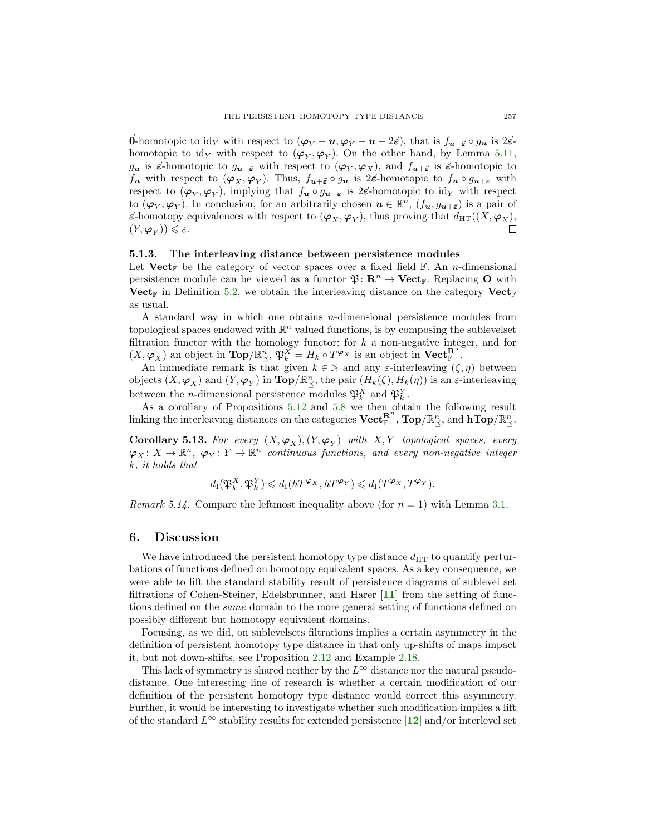$\vec{0}$ **-homotopic to id<sub>Y</sub>** with respect to  $(\varphi_Y - \mathbf{u}, \varphi_Y - \mathbf{u} - 2\vec{\varepsilon})$ , that is  $f_{\mathbf{u}+\vec{\varepsilon}} \circ g_{\mathbf{u}}$  is  $2\vec{\varepsilon}$ homotopic to  $\mathrm{id}_Y$  with respect to  $(\varphi_Y, \varphi_Y)$ . On the other hand, by Lemma [5.11,](#page-24-1)  $g_u$  is  $\vec{\epsilon}$ -homotopic to  $g_{u+\vec{\epsilon}}$  with respect to  $(\varphi_Y, \varphi_X)$ , and  $f_{u+\vec{\epsilon}}$  is  $\vec{\epsilon}$ -homotopic to  $f_{\bm{u}}$  with respect to  $(\varphi_X, \varphi_Y)$ . Thus,  $f_{\bm{u}+\vec{\epsilon}} \circ g_{\bm{u}}$  is  $2\vec{\epsilon}$ -homotopic to  $f_{\bm{u}} \circ g_{\bm{u}+\vec{\epsilon}}$  with respect to  $(\varphi_Y, \varphi_Y)$ , implying that  $f_u \circ g_{u+\varepsilon}$  is  $2\vec{\varepsilon}$ -homotopic to id<sub>Y</sub> with respect to  $(\varphi_Y, \varphi_Y)$ . In conclusion, for an arbitrarily chosen  $u \in \mathbb{R}^n$ ,  $(f_u, g_{u+\vec{\epsilon}})$  is a pair of  $\vec{\epsilon}$ -homotopy equivalences with respect to  $(\varphi_X, \varphi_Y)$ , thus proving that  $d_{\text{HT}}((X, \varphi_X),$  $(Y, \varphi_Y)) \leq \varepsilon.$ 

# 5.1.3. The interleaving distance between persistence modules

Let Vect<sub>F</sub> be the category of vector spaces over a fixed field  $\mathbb{F}$ . An *n*-dimensional persistence module can be viewed as a functor  $\mathfrak{P}: \mathbb{R}^n \to \mathbf{Vect}_{\mathbb{F}}$ . Replacing O with Vect<sub>F</sub> in Definition [5.2,](#page-21-3) we obtain the interleaving distance on the category Vect<sub>F</sub> as usual.

A standard way in which one obtains n-dimensional persistence modules from topological spaces endowed with  $\mathbb{R}^n$  valued functions, is by composing the sublevelset filtration functor with the homology functor: for  $k$  a non-negative integer, and for  $(X, \varphi_X)$  an object in  $\text{Top}/\mathbb{R}^n_{\preceq}, \mathfrak{P}_k^X = H_k \circ T^{\varphi_X}$  is an object in  $\text{Vect}_{\mathbb{F}}^{R^n}$ .

An immediate remark is that given  $k \in \mathbb{N}$  and any  $\varepsilon$ -interleaving  $(\zeta, \eta)$  between objects  $(X, \varphi_X)$  and  $(Y, \varphi_Y)$  in  $\text{Top}/\mathbb{R}^n_{\preceq}$ , the pair  $(H_k(\zeta), H_k(\eta))$  is an  $\varepsilon$ -interleaving between the *n*-dimensional persistence modules  $\mathfrak{P}_k^X$  and  $\mathfrak{P}_k^Y$ .

As a corollary of Propositions [5.12](#page-25-0) and [5.8](#page-23-0) we then obtain the following result linking the interleaving distances on the categories  $\mathbf{Vect}_{\mathbb{F}}^{\mathbf{R}^n}$ ,  $\mathbf{Top}/\mathbb{R}^n_{\preceq}$ , and  $\mathbf{hTop}/\mathbb{R}^n_{\preceq}$ .

**Corollary 5.13.** For every  $(X, \varphi_X)$ ,  $(Y, \varphi_Y)$  with  $X, Y$  topological spaces, every  $\varphi_X \colon X \to \mathbb{R}^n$ ,  $\varphi_Y \colon Y \to \mathbb{R}^n$  continuous functions, and every non-negative integer k, it holds that

$$
d_{\mathrm{I}}(\mathfrak{P}_{k}^{X}, \mathfrak{P}_{k}^{Y}) \leq d_{\mathrm{I}}(hT^{\boldsymbol{\varphi}_X}, hT^{\boldsymbol{\varphi}_Y}) \leq d_{\mathrm{I}}(T^{\boldsymbol{\varphi}_X}, T^{\boldsymbol{\varphi}_Y}).
$$

*Remark 5.14.* Compare the leftmost inequality above (for  $n = 1$ ) with Lemma [3.1.](#page-17-2)

# 6. Discussion

We have introduced the persistent homotopy type distance  $d_{\text{HT}}$  to quantify perturbations of functions defined on homotopy equivalent spaces. As a key consequence, we were able to lift the standard stability result of persistence diagrams of sublevel set filtrations of Cohen-Steiner, Edelsbrunner, and Harer  $[11]$  $[11]$  $[11]$  from the setting of functions defined on the same domain to the more general setting of functions defined on possibly different but homotopy equivalent domains.

Focusing, as we did, on sublevelsets filtrations implies a certain asymmetry in the definition of persistent homotopy type distance in that only up-shifts of maps impact it, but not down-shifts, see Proposition [2.12](#page-7-3) and Example [2.18.](#page-10-0)

This lack of symmetry is shared neither by the  $L^{\infty}$  distance nor the natural pseudodistance. One interesting line of research is whether a certain modification of our definition of the persistent homotopy type distance would correct this asymmetry. Further, it would be interesting to investigate whether such modification implies a lift of the standard  $L^{\infty}$  stability results for extended persistence [[12](#page-28-13)] and/or interlevel set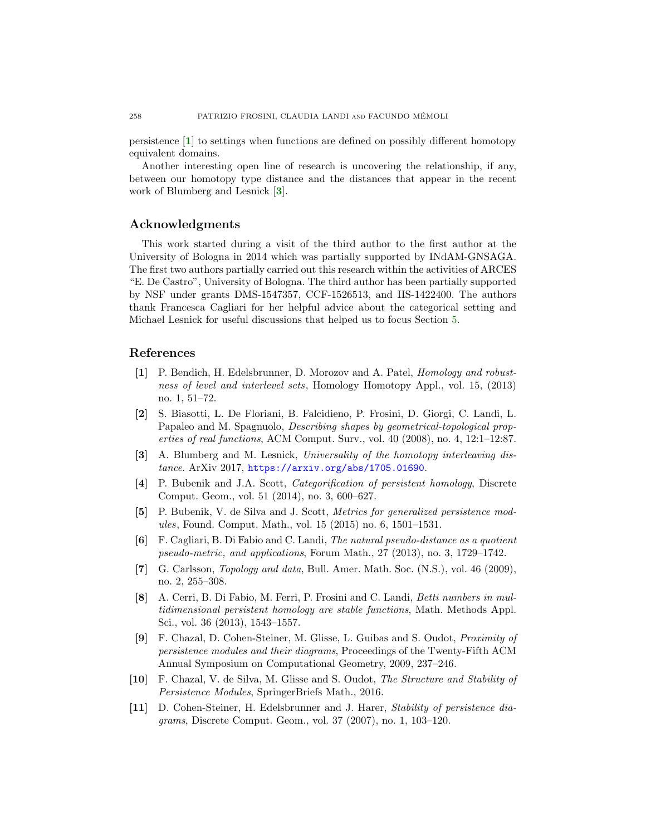persistence [[1](#page-27-10)] to settings when functions are defined on possibly different homotopy equivalent domains.

Another interesting open line of research is uncovering the relationship, if any, between our homotopy type distance and the distances that appear in the recent work of Blumberg and Lesnick [[3](#page-27-6)].

### Acknowledgments

This work started during a visit of the third author to the first author at the University of Bologna in 2014 which was partially supported by INdAM-GNSAGA. The first two authors partially carried out this research within the activities of ARCES "E. De Castro", University of Bologna. The third author has been partially supported by NSF under grants DMS-1547357, CCF-1526513, and IIS-1422400. The authors thank Francesca Cagliari for her helpful advice about the categorical setting and Michael Lesnick for useful discussions that helped us to focus Section [5.](#page-21-0)

# References

- <span id="page-27-10"></span>[1] P. Bendich, H. Edelsbrunner, D. Morozov and A. Patel, Homology and robustness of level and interlevel sets, Homology Homotopy Appl., vol. 15, (2013) no. 1, 51–72.
- <span id="page-27-2"></span>[2] S. Biasotti, L. De Floriani, B. Falcidieno, P. Frosini, D. Giorgi, C. Landi, L. Papaleo and M. Spagnuolo, Describing shapes by geometrical-topological properties of real functions, ACM Comput. Surv., vol. 40 (2008), no. 4, 12:1–12:87.
- <span id="page-27-6"></span>[3] A. Blumberg and M. Lesnick, Universality of the homotopy interleaving distance. ArXiv 2017, <https://arxiv.org/abs/1705.01690>.
- <span id="page-27-4"></span>[4] P. Bubenik and J.A. Scott, Categorification of persistent homology, Discrete Comput. Geom., vol. 51 (2014), no. 3, 600–627.
- <span id="page-27-9"></span>[5] P. Bubenik, V. de Silva and J. Scott, Metrics for generalized persistence modules, Found. Comput. Math., vol. 15 (2015) no. 6, 1501–1531.
- <span id="page-27-7"></span>[6] F. Cagliari, B. Di Fabio and C. Landi, The natural pseudo-distance as a quotient pseudo-metric, and applications, Forum Math., 27 (2013), no. 3, 1729–1742.
- <span id="page-27-0"></span>[7] G. Carlsson, *Topology and data*, Bull. Amer. Math. Soc.  $(N.S.)$ , vol. 46 (2009), no. 2, 255–308.
- <span id="page-27-8"></span>[8] A. Cerri, B. Di Fabio, M. Ferri, P. Frosini and C. Landi, Betti numbers in multidimensional persistent homology are stable functions, Math. Methods Appl. Sci., vol. 36 (2013), 1543–1557.
- <span id="page-27-3"></span>[9] F. Chazal, D. Cohen-Steiner, M. Glisse, L. Guibas and S. Oudot, Proximity of persistence modules and their diagrams, Proceedings of the Twenty-Fifth ACM Annual Symposium on Computational Geometry, 2009, 237–246.
- <span id="page-27-5"></span>[10] F. Chazal, V. de Silva, M. Glisse and S. Oudot, The Structure and Stability of Persistence Modules, SpringerBriefs Math., 2016.
- <span id="page-27-1"></span>[11] D. Cohen-Steiner, H. Edelsbrunner and J. Harer, Stability of persistence diagrams, Discrete Comput. Geom., vol. 37 (2007), no. 1, 103–120.